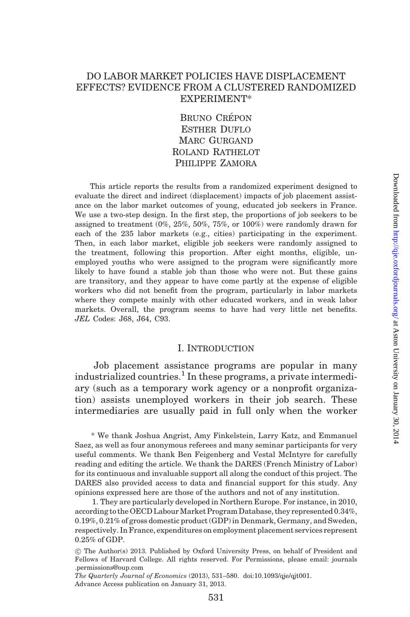# DO LABOR MARKET POLICIES HAVE DISPLACEMENT EFFECTS? EVIDENCE FROM A CLUSTERED RANDOMIZED EXPERIMENT\*

BRUNO CRÉPON Esther Duflo MARC GURGAND ROLAND RATHELOT Philippe Zamora

This article reports the results from a randomized experiment designed to evaluate the direct and indirect (displacement) impacts of job placement assistance on the labor market outcomes of young, educated job seekers in France. We use a two-step design. In the first step, the proportions of job seekers to be assigned to treatment (0%, 25%, 50%, 75%, or 100%) were randomly drawn for each of the 235 labor markets (e.g., cities) participating in the experiment. Then, in each labor market, eligible job seekers were randomly assigned to the treatment, following this proportion. After eight months, eligible, unemployed youths who were assigned to the program were significantly more likely to have found a stable job than those who were not. But these gains are transitory, and they appear to have come partly at the expense of eligible workers who did not benefit from the program, particularly in labor markets where they compete mainly with other educated workers, and in weak labor markets. Overall, the program seems to have had very little net benefits. JEL Codes: J68, J64, C93.

#### I. Introduction

Job placement assistance programs are popular in many industrialized countries.<sup>1</sup> In these programs, a private intermediary (such as a temporary work agency or a nonprofit organization) assists unemployed workers in their job search. These intermediaries are usually paid in full only when the worker

\* We thank Joshua Angrist, Amy Finkelstein, Larry Katz, and Emmanuel Saez, as well as four anonymous referees and many seminar participants for very useful comments. We thank Ben Feigenberg and Vestal McIntyre for carefully reading and editing the article. We thank the DARES (French Ministry of Labor) for its continuous and invaluable support all along the conduct of this project. The DARES also provided access to data and financial support for this study. Any opinions expressed here are those of the authors and not of any institution.

1. They are particularly developed in Northern Europe. For instance, in 2010, according to the OECD Labour Market Program Database, they represented 0.34%, 0.19%, 0.21% of gross domestic product (GDP) in Denmark, Germany, and Sweden, respectively. In France, expenditures on employment placement services represent 0.25% of GDP.

The Quarterly Journal of Economics (2013), 531–580. doi:10.1093/qje/qjt001. Advance Access publication on January 31, 2013.

<sup>!</sup> The Author(s) 2013. Published by Oxford University Press, on behalf of President and Fellows of Harvard College. All rights reserved. For Permissions, please email: journals .permissions@oup.com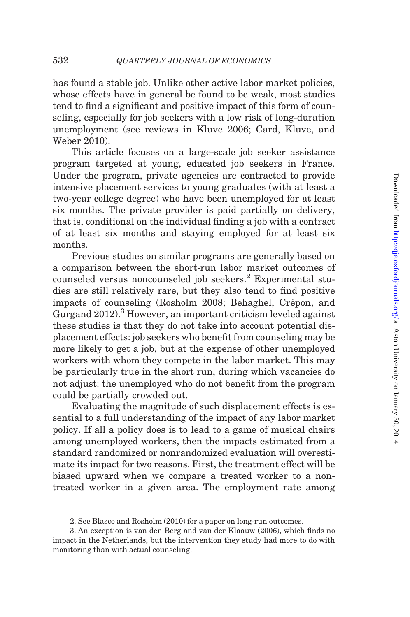has found a stable job. Unlike other active labor market policies, whose effects have in general be found to be weak, most studies tend to find a significant and positive impact of this form of counseling, especially for job seekers with a low risk of long-duration unemployment (see reviews in [Kluve 2006](#page-49-0); [Card, Kluve, and](#page-48-0) [Weber 2010](#page-48-0)).

This article focuses on a large-scale job seeker assistance program targeted at young, educated job seekers in France. Under the program, private agencies are contracted to provide intensive placement services to young graduates (with at least a two-year college degree) who have been unemployed for at least six months. The private provider is paid partially on delivery, that is, conditional on the individual finding a job with a contract of at least six months and staying employed for at least six months.

Previous studies on similar programs are generally based on a comparison between the short-run labor market outcomes of counseled versus noncounseled job seekers.<sup>2</sup> Experimental studies are still relatively rare, but they also tend to find positive impacts of counseling [\(Rosholm 2008](#page-49-0); Behaghel, Crépon, and Gurgand  $2012$ <sup>3</sup>. However, an important criticism leveled against these studies is that they do not take into account potential displacement effects: job seekers who benefit from counseling may be more likely to get a job, but at the expense of other unemployed workers with whom they compete in the labor market. This may be particularly true in the short run, during which vacancies do not adjust: the unemployed who do not benefit from the program could be partially crowded out.

Evaluating the magnitude of such displacement effects is essential to a full understanding of the impact of any labor market policy. If all a policy does is to lead to a game of musical chairs among unemployed workers, then the impacts estimated from a standard randomized or nonrandomized evaluation will overestimate its impact for two reasons. First, the treatment effect will be biased upward when we compare a treated worker to a nontreated worker in a given area. The employment rate among

<sup>2.</sup> See [Blasco and Rosholm \(2010\)](#page-48-0) for a paper on long-run outcomes.

<sup>3.</sup> An exception is [van den Berg and van der Klaauw \(2006\),](#page-49-0) which finds no impact in the Netherlands, but the intervention they study had more to do with monitoring than with actual counseling.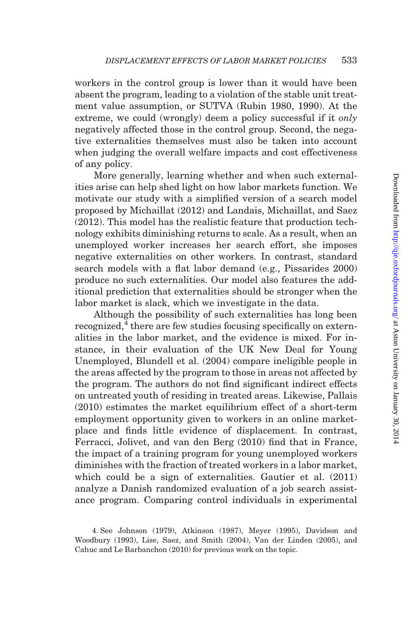workers in the control group is lower than it would have been absent the program, leading to a violation of the stable unit treatment value assumption, or SUTVA [\(Rubin 1980](#page-49-0), [1990](#page-49-0)). At the extreme, we could (wrongly) deem a policy successful if it *only* negatively affected those in the control group. Second, the negative externalities themselves must also be taken into account when judging the overall welfare impacts and cost effectiveness of any policy.

More generally, learning whether and when such externalities arise can help shed light on how labor markets function. We motivate our study with a simplified version of a search model proposed by [Michaillat \(2012\)](#page-49-0) and [Landais, Michaillat, and Saez](#page-49-0) [\(2012\)](#page-49-0). This model has the realistic feature that production technology exhibits diminishing returns to scale. As a result, when an unemployed worker increases her search effort, she imposes negative externalities on other workers. In contrast, standard search models with a flat labor demand (e.g., [Pissarides 2000](#page-49-0)) produce no such externalities. Our model also features the additional prediction that externalities should be stronger when the labor market is slack, which we investigate in the data.

Although the possibility of such externalities has long been recognized, $4$  there are few studies focusing specifically on externalities in the labor market, and the evidence is mixed. For instance, in their evaluation of the UK New Deal for Young Unemployed, [Blundell et al. \(2004\)](#page-48-0) compare ineligible people in the areas affected by the program to those in areas not affected by the program. The authors do not find significant indirect effects on untreated youth of residing in treated areas. Likewise, [Pallais](#page-49-0) [\(2010\)](#page-49-0) estimates the market equilibrium effect of a short-term employment opportunity given to workers in an online marketplace and finds little evidence of displacement. In contrast, [Ferracci, Jolivet, and van den Berg \(2010\)](#page-48-0) find that in France, the impact of a training program for young unemployed workers diminishes with the fraction of treated workers in a labor market, which could be a sign of externalities. [Gautier et al. \(2011\)](#page-48-0) analyze a Danish randomized evaluation of a job search assistance program. Comparing control individuals in experimental

<sup>4.</sup> See [Johnson \(1979\)](#page-49-0), [Atkinson \(1987\)](#page-48-0), [Meyer \(1995\),](#page-49-0) [Davidson and](#page-48-0) [Woodbury \(1993\)](#page-48-0), [Lise, Saez, and Smith \(2004\)](#page-49-0), [Van der Linden \(2005\),](#page-49-0) and [Cahuc and Le Barbanchon \(2010\)](#page-48-0) for previous work on the topic.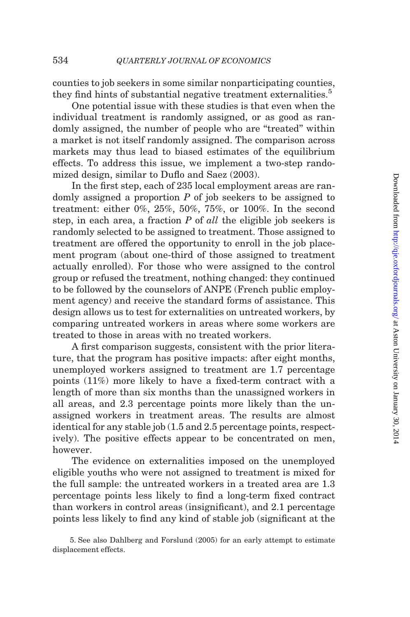counties to job seekers in some similar nonparticipating counties, they find hints of substantial negative treatment externalities.<sup>5</sup>

One potential issue with these studies is that even when the individual treatment is randomly assigned, or as good as randomly assigned, the number of people who are "treated" within a market is not itself randomly assigned. The comparison across markets may thus lead to biased estimates of the equilibrium effects. To address this issue, we implement a two-step randomized design, similar to [Duflo and Saez \(2003\)](#page-48-0).

In the first step, each of 235 local employment areas are randomly assigned a proportion  $P$  of job seekers to be assigned to treatment: either 0%, 25%, 50%, 75%, or 100%. In the second step, in each area, a fraction  $P$  of all the eligible job seekers is randomly selected to be assigned to treatment. Those assigned to treatment are offered the opportunity to enroll in the job placement program (about one-third of those assigned to treatment actually enrolled). For those who were assigned to the control group or refused the treatment, nothing changed: they continued to be followed by the counselors of ANPE (French public employment agency) and receive the standard forms of assistance. This design allows us to test for externalities on untreated workers, by comparing untreated workers in areas where some workers are treated to those in areas with no treated workers.

A first comparison suggests, consistent with the prior literature, that the program has positive impacts: after eight months, unemployed workers assigned to treatment are 1.7 percentage points (11%) more likely to have a fixed-term contract with a length of more than six months than the unassigned workers in all areas, and 2.3 percentage points more likely than the unassigned workers in treatment areas. The results are almost identical for any stable job (1.5 and 2.5 percentage points, respectively). The positive effects appear to be concentrated on men, however.

The evidence on externalities imposed on the unemployed eligible youths who were not assigned to treatment is mixed for the full sample: the untreated workers in a treated area are 1.3 percentage points less likely to find a long-term fixed contract than workers in control areas (insignificant), and 2.1 percentage points less likely to find any kind of stable job (significant at the

5. See also [Dahlberg and Forslund \(2005\)](#page-48-0) for an early attempt to estimate displacement effects.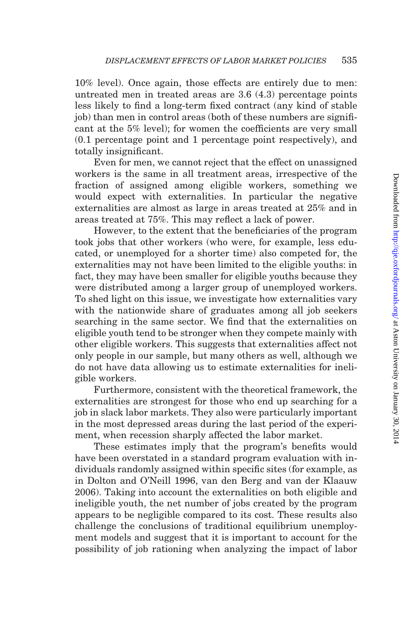10% level). Once again, those effects are entirely due to men: untreated men in treated areas are 3.6 (4.3) percentage points less likely to find a long-term fixed contract (any kind of stable job) than men in control areas (both of these numbers are significant at the 5% level); for women the coefficients are very small (0.1 percentage point and 1 percentage point respectively), and totally insignificant.

Even for men, we cannot reject that the effect on unassigned workers is the same in all treatment areas, irrespective of the fraction of assigned among eligible workers, something we would expect with externalities. In particular the negative externalities are almost as large in areas treated at 25% and in areas treated at 75%. This may reflect a lack of power.

However, to the extent that the beneficiaries of the program took jobs that other workers (who were, for example, less educated, or unemployed for a shorter time) also competed for, the externalities may not have been limited to the eligible youths: in fact, they may have been smaller for eligible youths because they were distributed among a larger group of unemployed workers. To shed light on this issue, we investigate how externalities vary with the nationwide share of graduates among all job seekers searching in the same sector. We find that the externalities on eligible youth tend to be stronger when they compete mainly with other eligible workers. This suggests that externalities affect not only people in our sample, but many others as well, although we do not have data allowing us to estimate externalities for ineligible workers.

Furthermore, consistent with the theoretical framework, the externalities are strongest for those who end up searching for a job in slack labor markets. They also were particularly important in the most depressed areas during the last period of the experiment, when recession sharply affected the labor market.

These estimates imply that the program's benefits would have been overstated in a standard program evaluation with individuals randomly assigned within specific sites (for example, as in [Dolton and O'Neill 1996](#page-48-0), [van den Berg and van der Klaauw](#page-49-0) [2006\)](#page-49-0). Taking into account the externalities on both eligible and ineligible youth, the net number of jobs created by the program appears to be negligible compared to its cost. These results also challenge the conclusions of traditional equilibrium unemployment models and suggest that it is important to account for the possibility of job rationing when analyzing the impact of labor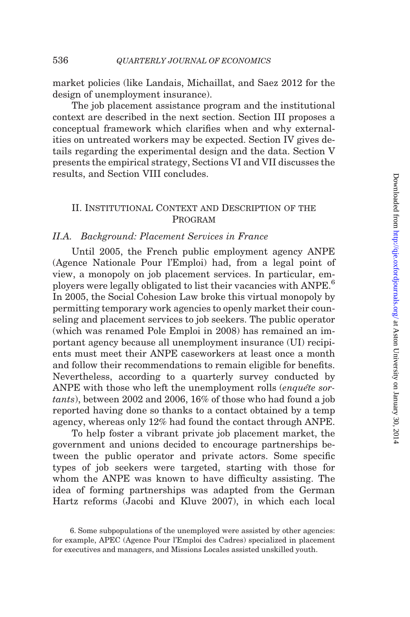market policies (like [Landais, Michaillat, and Saez 2012](#page-49-0) for the design of unemployment insurance).

The job placement assistance program and the institutional context are described in the next section. Section III proposes a conceptual framework which clarifies when and why externalities on untreated workers may be expected. Section IV gives details regarding the experimental design and the data. Section V presents the empirical strategy, Sections VI and VII discusses the results, and Section VIII concludes.

# II. INSTITUTIONAL CONTEXT AND DESCRIPTION OF THE Program

## II.A. Background: Placement Services in France

Until 2005, the French public employment agency ANPE (Agence Nationale Pour l'Emploi) had, from a legal point of view, a monopoly on job placement services. In particular, employers were legally obligated to list their vacancies with ANPE.<sup>6</sup> In 2005, the Social Cohesion Law broke this virtual monopoly by permitting temporary work agencies to openly market their counseling and placement services to job seekers. The public operator (which was renamed Pole Emploi in 2008) has remained an important agency because all unemployment insurance (UI) recipients must meet their ANPE caseworkers at least once a month and follow their recommendations to remain eligible for benefits. Nevertheless, according to a quarterly survey conducted by ANPE with those who left the unemployment rolls (enquête sortants), between 2002 and 2006, 16% of those who had found a job reported having done so thanks to a contact obtained by a temp agency, whereas only 12% had found the contact through ANPE.

To help foster a vibrant private job placement market, the government and unions decided to encourage partnerships between the public operator and private actors. Some specific types of job seekers were targeted, starting with those for whom the ANPE was known to have difficulty assisting. The idea of forming partnerships was adapted from the German Hartz reforms [\(Jacobi and Kluve 2007\)](#page-49-0), in which each local

<sup>6.</sup> Some subpopulations of the unemployed were assisted by other agencies: for example, APEC (Agence Pour l'Emploi des Cadres) specialized in placement for executives and managers, and Missions Locales assisted unskilled youth.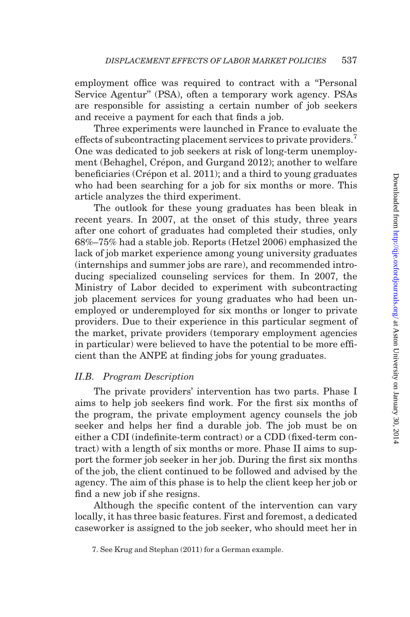employment office was required to contract with a ''Personal Service Agentur'' (PSA), often a temporary work agency. PSAs are responsible for assisting a certain number of job seekers and receive a payment for each that finds a job.

Three experiments were launched in France to evaluate the effects of subcontracting placement services to private providers.<sup>7</sup> One was dedicated to job seekers at risk of long-term unemployment (Behaghel, Crépon, and Gurgand 2012); another to welfare beneficiaries (Crépon et al.  $2011$ ); and a third to young graduates who had been searching for a job for six months or more. This article analyzes the third experiment.

The outlook for these young graduates has been bleak in recent years. In 2007, at the onset of this study, three years after one cohort of graduates had completed their studies, only 68%–75% had a stable job. Reports [\(Hetzel 2006\)](#page-49-0) emphasized the lack of job market experience among young university graduates (internships and summer jobs are rare), and recommended introducing specialized counseling services for them. In 2007, the Ministry of Labor decided to experiment with subcontracting job placement services for young graduates who had been unemployed or underemployed for six months or longer to private providers. Due to their experience in this particular segment of the market, private providers (temporary employment agencies in particular) were believed to have the potential to be more efficient than the ANPE at finding jobs for young graduates.

# II.B. Program Description

The private providers' intervention has two parts. Phase I aims to help job seekers find work. For the first six months of the program, the private employment agency counsels the job seeker and helps her find a durable job. The job must be on either a CDI (indefinite-term contract) or a CDD (fixed-term contract) with a length of six months or more. Phase II aims to support the former job seeker in her job. During the first six months of the job, the client continued to be followed and advised by the agency. The aim of this phase is to help the client keep her job or find a new job if she resigns.

Although the specific content of the intervention can vary locally, it has three basic features. First and foremost, a dedicated caseworker is assigned to the job seeker, who should meet her in

<sup>7.</sup> See [Krug and Stephan \(2011\)](#page-49-0) for a German example.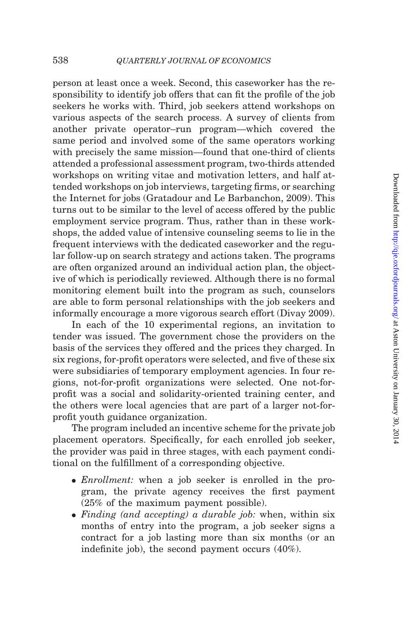person at least once a week. Second, this caseworker has the responsibility to identify job offers that can fit the profile of the job seekers he works with. Third, job seekers attend workshops on various aspects of the search process. A survey of clients from another private operator–run program—which covered the same period and involved some of the same operators working with precisely the same mission—found that one-third of clients attended a professional assessment program, two-thirds attended workshops on writing vitae and motivation letters, and half attended workshops on job interviews, targeting firms, or searching the Internet for jobs ([Gratadour and Le Barbanchon, 2009\)](#page-48-0). This turns out to be similar to the level of access offered by the public employment service program. Thus, rather than in these workshops, the added value of intensive counseling seems to lie in the frequent interviews with the dedicated caseworker and the regular follow-up on search strategy and actions taken. The programs are often organized around an individual action plan, the objective of which is periodically reviewed. Although there is no formal monitoring element built into the program as such, counselors are able to form personal relationships with the job seekers and informally encourage a more vigorous search effort [\(Divay 2009](#page-48-0)).

In each of the 10 experimental regions, an invitation to tender was issued. The government chose the providers on the basis of the services they offered and the prices they charged. In six regions, for-profit operators were selected, and five of these six were subsidiaries of temporary employment agencies. In four regions, not-for-profit organizations were selected. One not-forprofit was a social and solidarity-oriented training center, and the others were local agencies that are part of a larger not-forprofit youth guidance organization.

The program included an incentive scheme for the private job placement operators. Specifically, for each enrolled job seeker, the provider was paid in three stages, with each payment conditional on the fulfillment of a corresponding objective.

- *Enrollment*: when a job seeker is enrolled in the program, the private agency receives the first payment (25% of the maximum payment possible).
- . Finding (and accepting) a durable job: when, within six months of entry into the program, a job seeker signs a contract for a job lasting more than six months (or an indefinite job), the second payment occurs (40%).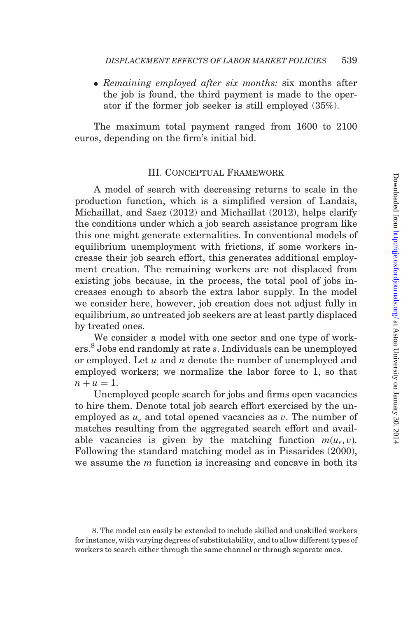• Remaining employed after six months: six months after the job is found, the third payment is made to the operator if the former job seeker is still employed (35%).

The maximum total payment ranged from 1600 to 2100 euros, depending on the firm's initial bid.

## III. Conceptual Framework

A model of search with decreasing returns to scale in the production function, which is a simplified version of [Landais,](#page-49-0) [Michaillat, and Saez \(2012\)](#page-49-0) and [Michaillat \(2012\),](#page-49-0) helps clarify the conditions under which a job search assistance program like this one might generate externalities. In conventional models of equilibrium unemployment with frictions, if some workers increase their job search effort, this generates additional employment creation. The remaining workers are not displaced from existing jobs because, in the process, the total pool of jobs increases enough to absorb the extra labor supply. In the model we consider here, however, job creation does not adjust fully in equilibrium, so untreated job seekers are at least partly displaced by treated ones.

We consider a model with one sector and one type of workers.<sup>8</sup> Jobs end randomly at rate s. Individuals can be unemployed or employed. Let  $u$  and  $n$  denote the number of unemployed and employed workers; we normalize the labor force to 1, so that  $n + u = 1.$ 

Unemployed people search for jobs and firms open vacancies to hire them. Denote total job search effort exercised by the unemployed as  $u_e$  and total opened vacancies as v. The number of matches resulting from the aggregated search effort and available vacancies is given by the matching function  $m(u_e, v)$ . Following the standard matching model as in [Pissarides \(2000\),](#page-49-0) we assume the *m* function is increasing and concave in both its

<sup>8.</sup> The model can easily be extended to include skilled and unskilled workers for instance, with varying degrees of substitutability, and to allow different types of workers to search either through the same channel or through separate ones.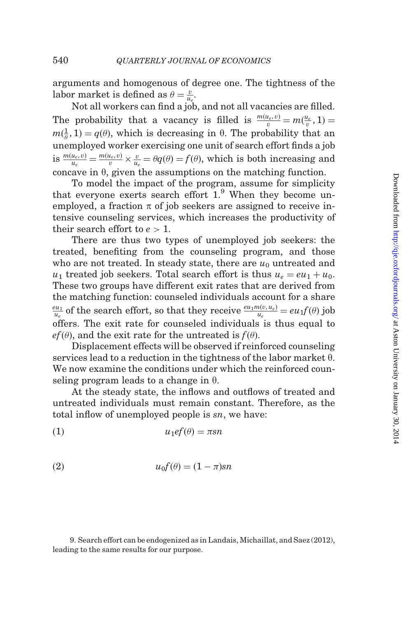<span id="page-9-0"></span>arguments and homogenous of degree one. The tightness of the labor market is defined as  $\theta = \frac{v}{u_e}$ .

Not all workers can find a job, and not all vacancies are filled. The probability that a vacancy is filled is  $\frac{m(u_e, v)}{v} = m(\frac{u_e}{v}, 1) =$  $m(\frac{1}{\theta}, 1) = q(\theta)$ , which is decreasing in  $\theta$ . The probability that an unemployed worker exercising one unit of search effort finds a job is  $\frac{m(u_e, v)}{u_e} = \frac{m(u_e, v)}{v} \times \frac{v}{u_e} = \theta q(\theta) = f(\theta)$ , which is both increasing and concave in  $\theta$ , given the assumptions on the matching function.

To model the impact of the program, assume for simplicity that everyone exerts search effort 1.<sup>9</sup> When they become unemployed, a fraction  $\pi$  of job seekers are assigned to receive intensive counseling services, which increases the productivity of their search effort to  $e > 1$ .

There are thus two types of unemployed job seekers: the treated, benefiting from the counseling program, and those who are not treated. In steady state, there are  $u_0$  untreated and  $u_1$  treated job seekers. Total search effort is thus  $u_e = eu_1 + u_0$ . These two groups have different exit rates that are derived from the matching function: counseled individuals account for a share  $\frac{eu_1}{u_e}$  of the search effort, so that they receive  $\frac{eu_1m(v,u_e)}{u_e} = eu_1f(\theta)$  job offers. The exit rate for counseled individuals is thus equal to  $ef(\theta)$ , and the exit rate for the untreated is  $f(\theta)$ .

Displacement effects will be observed if reinforced counseling services lead to a reduction in the tightness of the labor market  $\theta$ . We now examine the conditions under which the reinforced counseling program leads to a change in  $\theta$ .

At the steady state, the inflows and outflows of treated and untreated individuals must remain constant. Therefore, as the total inflow of unemployed people is  $sn$ , we have:

$$
(1) \t\t u_1ef(\theta) = \pi sn
$$

$$
(2) \t\t u_0 f(\theta) = (1 - \pi) sn
$$

9. Search effort can be endogenized as in [Landais, Michaillat, and Saez \(2012\)](#page-49-0), leading to the same results for our purpose.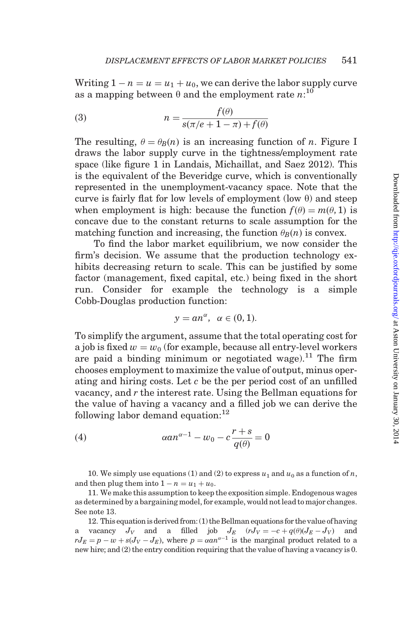<span id="page-10-0"></span>Writing  $1 - n = u = u_1 + u_0$ , we can derive the labor supply curve as a mapping between  $\theta$  and the employment rate  $n:^{10}$ 

(3) 
$$
n = \frac{f(\theta)}{s(\pi/e + 1 - \pi) + f(\theta)}
$$

The resulting,  $\theta = \theta_B(n)$  is an increasing function of *n*. [Figure I](#page-11-0) draws the labor supply curve in the tightness/employment rate space (like figure 1 in [Landais, Michaillat, and Saez 2012\)](#page-49-0). This is the equivalent of the Beveridge curve, which is conventionally represented in the unemployment-vacancy space. Note that the curve is fairly flat for low levels of employment (low  $\theta$ ) and steep when employment is high: because the function  $f(\theta) = m(\theta, 1)$  is concave due to the constant returns to scale assumption for the matching function and increasing, the function  $\theta_B(n)$  is convex.

To find the labor market equilibrium, we now consider the firm's decision. We assume that the production technology exhibits decreasing return to scale. This can be justified by some factor (management, fixed capital, etc.) being fixed in the short run. Consider for example the technology is a simple Cobb-Douglas production function:

$$
y = a n^{\alpha}, \ \alpha \in (0, 1).
$$

To simplify the argument, assume that the total operating cost for a job is fixed  $w = w_0$  (for example, because all entry-level workers are paid a binding minimum or negotiated wage).<sup>11</sup> The firm chooses employment to maximize the value of output, minus operating and hiring costs. Let  $c$  be the per period cost of an unfilled vacancy, and r the interest rate. Using the Bellman equations for the value of having a vacancy and a filled job we can derive the following labor demand equation: $12$ 

(4) 
$$
\alpha a n^{\alpha - 1} - w_0 - c \frac{r + s}{q(\theta)} = 0
$$

10. We simply use [equations \(1\)](#page-9-0) and [\(2\)](#page-9-0) to express  $u_1$  and  $u_0$  as a function of n, and then plug them into  $1 - n = u_1 + u_0$ .

11. We make this assumption to keep the exposition simple. Endogenous wages as determined by a bargaining model, for example, would not lead to major changes. See note 13.

12. This equation is derived from:  $(1)$  the Bellman equations for the value of having a vacancy  $J_V$  and a filled job  $J_E$   $(rJ_V = -c + q(\theta)(J_E - J_V)$  and  $rJ_E = p - w + s(J_V - J_E)$ , where  $p = \alpha a n^{\alpha-1}$  is the marginal product related to a new hire; and (2) the entry condition requiring that the value of having a vacancy is 0.

Downloaded from http://qje.oxfordjournals.org/ at Aston University on January 30, 2014 Downloaded from <http://qje.oxfordjournals.org/> at Aston University on January 30, 2014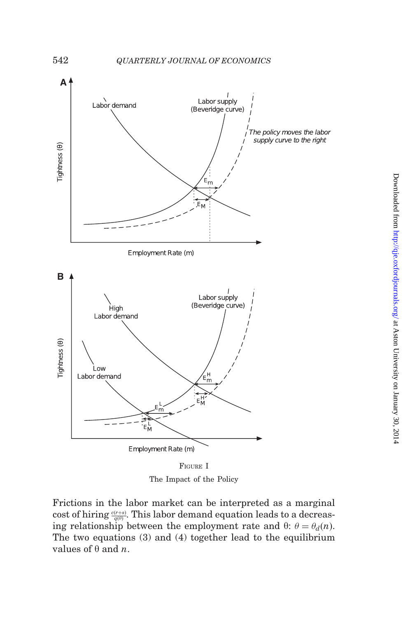<span id="page-11-0"></span>

The Impact of the Policy

Frictions in the labor market can be interpreted as a marginal cost of hiring  $\frac{c(r+s)}{q(\theta)}$ . This labor demand equation leads to a decreasing relationship between the employment rate and  $\theta$ :  $\theta = \theta_d(n)$ . The two [equations \(3\)](#page-10-0) and [\(4\)](#page-10-0) together lead to the equilibrium values of  $\theta$  and n.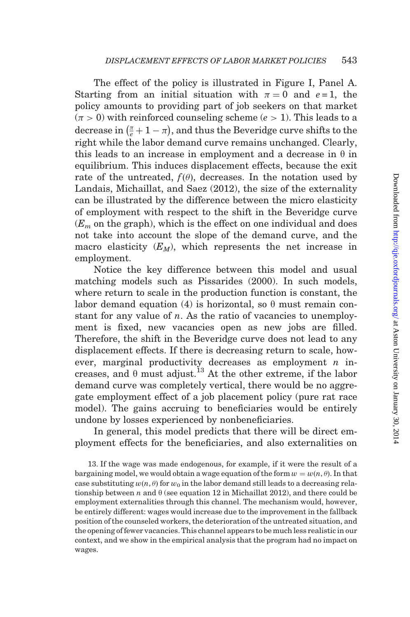The effect of the policy is illustrated in [Figure I](#page-11-0), Panel A. Starting from an initial situation with  $\pi = 0$  and  $e = 1$ , the policy amounts to providing part of job seekers on that market  $(\pi > 0)$  with reinforced counseling scheme  $(e > 1)$ . This leads to a decrease in  $(\frac{\pi}{e} + 1 - \pi)$ , and thus the Beveridge curve shifts to the right while the labor demand curve remains unchanged. Clearly, this leads to an increase in employment and a decrease in  $\theta$  in equilibrium. This induces displacement effects, because the exit rate of the untreated,  $f(\theta)$ , decreases. In the notation used by [Landais, Michaillat, and Saez \(2012\),](#page-49-0) the size of the externality can be illustrated by the difference between the micro elasticity of employment with respect to the shift in the Beveridge curve  $(E_m$  on the graph), which is the effect on one individual and does not take into account the slope of the demand curve, and the macro elasticity  $(E_M)$ , which represents the net increase in employment.

Notice the key difference between this model and usual matching models such as [Pissarides \(2000\).](#page-49-0) In such models, where return to scale in the production function is constant, the labor demand [equation \(4\)](#page-10-0) is horizontal, so  $\theta$  must remain constant for any value of  $n$ . As the ratio of vacancies to unemployment is fixed, new vacancies open as new jobs are filled. Therefore, the shift in the Beveridge curve does not lead to any displacement effects. If there is decreasing return to scale, however, marginal productivity decreases as employment  $n$  increases, and  $\theta$  must adjust.<sup>13</sup> At the other extreme, if the labor demand curve was completely vertical, there would be no aggregate employment effect of a job placement policy (pure rat race model). The gains accruing to beneficiaries would be entirely undone by losses experienced by nonbeneficiaries.

In general, this model predicts that there will be direct employment effects for the beneficiaries, and also externalities on

13. If the wage was made endogenous, for example, if it were the result of a bargaining model, we would obtain a wage equation of the form  $w=w(n,\theta).$  In that case substituting  $w(n, \theta)$  for  $w_0$  in the labor demand still leads to a decreasing relationship between n and  $\theta$  (see equation 12 in [Michaillat 2012](#page-49-0)), and there could be employment externalities through this channel. The mechanism would, however, be entirely different: wages would increase due to the improvement in the fallback position of the counseled workers, the deterioration of the untreated situation, and the opening of fewer vacancies. This channel appears to be much less realistic in our context, and we show in the empirical analysis that the program had no impact on wages.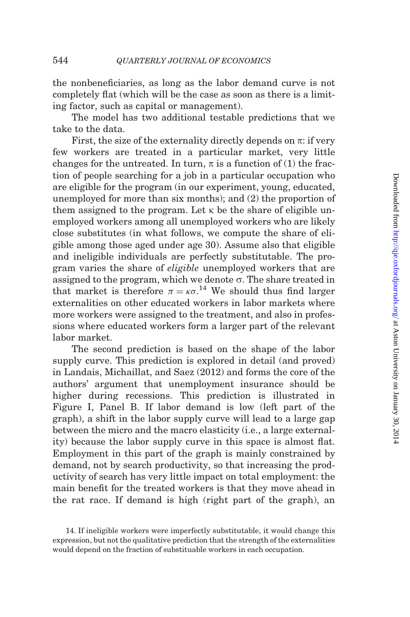the nonbeneficiaries, as long as the labor demand curve is not completely flat (which will be the case as soon as there is a limiting factor, such as capital or management).

The model has two additional testable predictions that we take to the data.

First, the size of the externality directly depends on  $\pi$ : if very few workers are treated in a particular market, very little changes for the untreated. In turn,  $\pi$  is a function of (1) the fraction of people searching for a job in a particular occupation who are eligible for the program (in our experiment, young, educated, unemployed for more than six months); and (2) the proportion of them assigned to the program. Let  $\kappa$  be the share of eligible unemployed workers among all unemployed workers who are likely close substitutes (in what follows, we compute the share of eligible among those aged under age 30). Assume also that eligible and ineligible individuals are perfectly substitutable. The program varies the share of eligible unemployed workers that are assigned to the program, which we denote  $\sigma$ . The share treated in that market is therefore  $\pi = \kappa \sigma$ .<sup>14</sup> We should thus find larger externalities on other educated workers in labor markets where more workers were assigned to the treatment, and also in professions where educated workers form a larger part of the relevant labor market.

The second prediction is based on the shape of the labor supply curve. This prediction is explored in detail (and proved) in [Landais, Michaillat, and Saez \(2012\)](#page-49-0) and forms the core of the authors' argument that unemployment insurance should be higher during recessions. This prediction is illustrated in [Figure I](#page-11-0), Panel B. If labor demand is low (left part of the graph), a shift in the labor supply curve will lead to a large gap between the micro and the macro elasticity (i.e., a large externality) because the labor supply curve in this space is almost flat. Employment in this part of the graph is mainly constrained by demand, not by search productivity, so that increasing the productivity of search has very little impact on total employment: the main benefit for the treated workers is that they move ahead in the rat race. If demand is high (right part of the graph), an

<sup>14.</sup> If ineligible workers were imperfectly substitutable, it would change this expression, but not the qualitative prediction that the strength of the externalities would depend on the fraction of substituable workers in each occupation.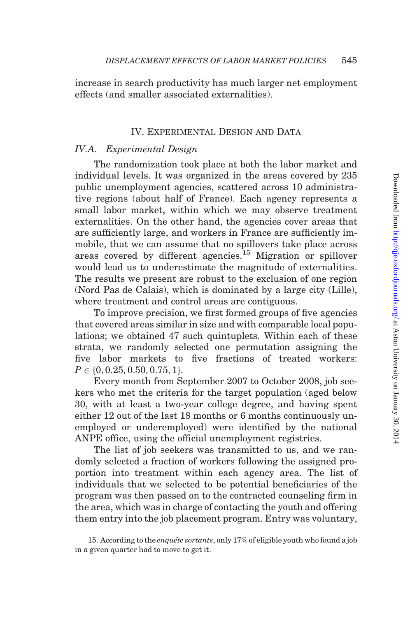increase in search productivity has much larger net employment effects (and smaller associated externalities).

# IV. Experimental Design and Data

# IV.A. Experimental Design

The randomization took place at both the labor market and individual levels. It was organized in the areas covered by 235 public unemployment agencies, scattered across 10 administrative regions (about half of France). Each agency represents a small labor market, within which we may observe treatment externalities. On the other hand, the agencies cover areas that are sufficiently large, and workers in France are sufficiently immobile, that we can assume that no spillovers take place across areas covered by different agencies.<sup>15</sup> Migration or spillover would lead us to underestimate the magnitude of externalities. The results we present are robust to the exclusion of one region (Nord Pas de Calais), which is dominated by a large city (Lille), where treatment and control areas are contiguous.

To improve precision, we first formed groups of five agencies that covered areas similar in size and with comparable local populations; we obtained 47 such quintuplets. Within each of these strata, we randomly selected one permutation assigning the five labor markets to five fractions of treated workers:  $P \in \{0, 0.25, 0.50, 0.75, 1\}.$ 

Every month from September 2007 to October 2008, job seekers who met the criteria for the target population (aged below 30, with at least a two-year college degree, and having spent either 12 out of the last 18 months or 6 months continuously unemployed or underemployed) were identified by the national ANPE office, using the official unemployment registries.

The list of job seekers was transmitted to us, and we randomly selected a fraction of workers following the assigned proportion into treatment within each agency area. The list of individuals that we selected to be potential beneficiaries of the program was then passed on to the contracted counseling firm in the area, which was in charge of contacting the youth and offering them entry into the job placement program. Entry was voluntary,

<sup>15.</sup> According to the *enquête sortants*, only 17% of eligible youth who found a job in a given quarter had to move to get it.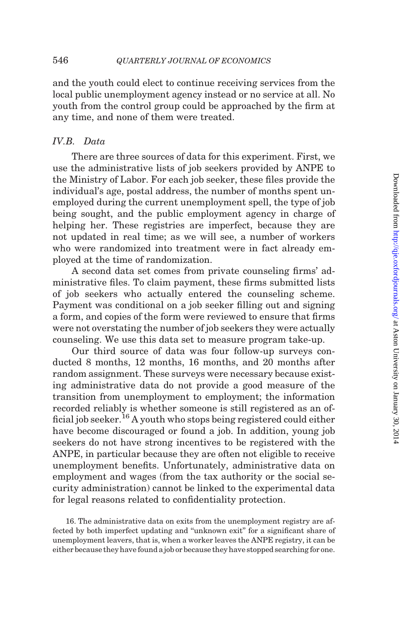and the youth could elect to continue receiving services from the local public unemployment agency instead or no service at all. No youth from the control group could be approached by the firm at any time, and none of them were treated.

# IV.B. Data

There are three sources of data for this experiment. First, we use the administrative lists of job seekers provided by ANPE to the Ministry of Labor. For each job seeker, these files provide the individual's age, postal address, the number of months spent unemployed during the current unemployment spell, the type of job being sought, and the public employment agency in charge of helping her. These registries are imperfect, because they are not updated in real time; as we will see, a number of workers who were randomized into treatment were in fact already employed at the time of randomization.

A second data set comes from private counseling firms' administrative files. To claim payment, these firms submitted lists of job seekers who actually entered the counseling scheme. Payment was conditional on a job seeker filling out and signing a form, and copies of the form were reviewed to ensure that firms were not overstating the number of job seekers they were actually counseling. We use this data set to measure program take-up.

Our third source of data was four follow-up surveys conducted 8 months, 12 months, 16 months, and 20 months after random assignment. These surveys were necessary because existing administrative data do not provide a good measure of the transition from unemployment to employment; the information recorded reliably is whether someone is still registered as an official job seeker.<sup>16</sup> A youth who stops being registered could either have become discouraged or found a job. In addition, young job seekers do not have strong incentives to be registered with the ANPE, in particular because they are often not eligible to receive unemployment benefits. Unfortunately, administrative data on employment and wages (from the tax authority or the social security administration) cannot be linked to the experimental data for legal reasons related to confidentiality protection.

16. The administrative data on exits from the unemployment registry are affected by both imperfect updating and ''unknown exit'' for a significant share of unemployment leavers, that is, when a worker leaves the ANPE registry, it can be either because they have found a job or because they have stopped searching for one.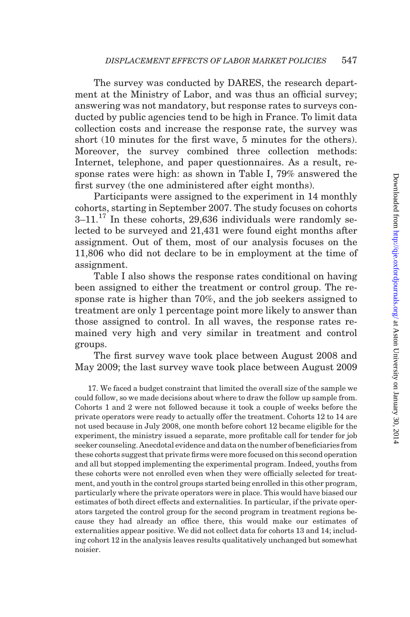The survey was conducted by DARES, the research department at the Ministry of Labor, and was thus an official survey; answering was not mandatory, but response rates to surveys conducted by public agencies tend to be high in France. To limit data collection costs and increase the response rate, the survey was short (10 minutes for the first wave, 5 minutes for the others). Moreover, the survey combined three collection methods: Internet, telephone, and paper questionnaires. As a result, response rates were high: as shown in [Table I](#page-17-0), 79% answered the first survey (the one administered after eight months).

Participants were assigned to the experiment in 14 monthly cohorts, starting in September 2007. The study focuses on cohorts  $3-11$ <sup>17</sup> In these cohorts, 29,636 individuals were randomly selected to be surveyed and 21,431 were found eight months after assignment. Out of them, most of our analysis focuses on the 11,806 who did not declare to be in employment at the time of assignment.

[Table I](#page-17-0) also shows the response rates conditional on having been assigned to either the treatment or control group. The response rate is higher than 70%, and the job seekers assigned to treatment are only 1 percentage point more likely to answer than those assigned to control. In all waves, the response rates remained very high and very similar in treatment and control groups.

The first survey wave took place between August 2008 and May 2009; the last survey wave took place between August 2009

17. We faced a budget constraint that limited the overall size of the sample we could follow, so we made decisions about where to draw the follow up sample from. Cohorts 1 and 2 were not followed because it took a couple of weeks before the private operators were ready to actually offer the treatment. Cohorts 12 to 14 are not used because in July 2008, one month before cohort 12 became eligible for the experiment, the ministry issued a separate, more profitable call for tender for job seeker counseling. Anecdotal evidence and data on the number of beneficiaries from these cohorts suggest that private firms were more focused on this second operation and all but stopped implementing the experimental program. Indeed, youths from these cohorts were not enrolled even when they were officially selected for treatment, and youth in the control groups started being enrolled in this other program, particularly where the private operators were in place. This would have biased our estimates of both direct effects and externalities. In particular, if the private operators targeted the control group for the second program in treatment regions because they had already an office there, this would make our estimates of externalities appear positive. We did not collect data for cohorts 13 and 14; including cohort 12 in the analysis leaves results qualitatively unchanged but somewhat noisier.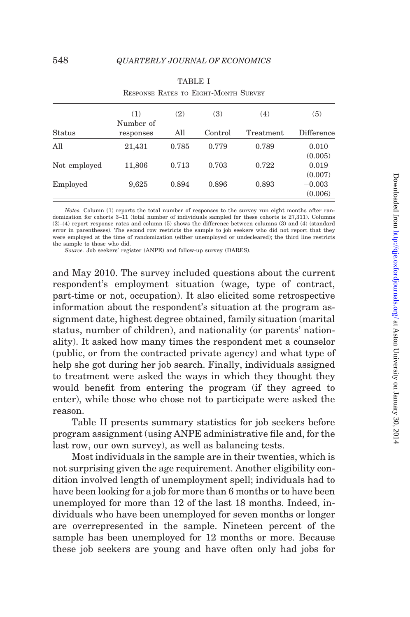<span id="page-17-0"></span>

|               |                  |       | RESPONSE RATES TO EIGHT-MONTH SURVEY |           |                                |
|---------------|------------------|-------|--------------------------------------|-----------|--------------------------------|
|               | (1)<br>Number of | (2)   | (3)                                  | (4)       | (5)                            |
| <b>Status</b> | responses        | All   | Control                              | Treatment | Difference                     |
| All           | 21,431           | 0.785 | 0.779                                | 0.789     | 0.010                          |
| Not employed  | 11,806           | 0.713 | 0.703                                | 0.722     | (0.005)<br>0.019               |
| Employed      | 9,625            | 0.894 | 0.896                                | 0.893     | (0.007)<br>$-0.003$<br>(0.006) |

|  | <b>TABLE I</b>                       |  |
|--|--------------------------------------|--|
|  | RESPONSE RATES TO EIGHT-MONTH SURVEY |  |

Notes. Column (1) reports the total number of responses to the survey run eight months after randomization for cohorts 3–11 (total number of individuals sampled for these cohorts is 27,311). Columns (2)–(4) report response rates and column (5) shows the difference between columns (3) and (4) (standard error in parentheses). The second row restricts the sample to job seekers who did not report that they were employed at the time of randomization (either unemployed or undecleared); the third line restricts the sample to those who did.

Source. Job seekers' register (ANPE) and follow-up survey (DARES).

and May 2010. The survey included questions about the current respondent's employment situation (wage, type of contract, part-time or not, occupation). It also elicited some retrospective information about the respondent's situation at the program assignment date, highest degree obtained, family situation (marital status, number of children), and nationality (or parents' nationality). It asked how many times the respondent met a counselor (public, or from the contracted private agency) and what type of help she got during her job search. Finally, individuals assigned to treatment were asked the ways in which they thought they would benefit from entering the program (if they agreed to enter), while those who chose not to participate were asked the reason.

[Table II](#page-18-0) presents summary statistics for job seekers before program assignment (using ANPE administrative file and, for the last row, our own survey), as well as balancing tests.

Most individuals in the sample are in their twenties, which is not surprising given the age requirement. Another eligibility condition involved length of unemployment spell; individuals had to have been looking for a job for more than 6 months or to have been unemployed for more than 12 of the last 18 months. Indeed, individuals who have been unemployed for seven months or longer are overrepresented in the sample. Nineteen percent of the sample has been unemployed for 12 months or more. Because these job seekers are young and have often only had jobs for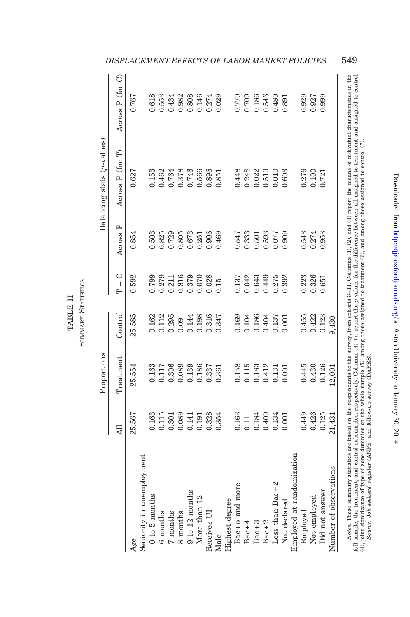SUMMARY STATISTICS SUMMARY STATISTICS TABLE II TABLE II

<span id="page-18-0"></span>

|                                                |                | Proportions |         |         |          | Balancing stats (p-values) |                  |
|------------------------------------------------|----------------|-------------|---------|---------|----------|----------------------------|------------------|
|                                                | $\overline{a}$ | Treatment   | Control | $T - C$ | Across P | Across P (for T)           | Across P (for C) |
| Age                                            | 25.567         | 25.554      | 25.585  | 0.592   | 0.854    | 0.627                      | 0.767            |
| Seniority in unemployment<br>$0$ to $5$ months | 0.163          | 0.163       | 0.162   | 0.799   | 0.503    | 0.153                      | 0.618            |
| 6 months                                       | 0.115          | 0.117       | 0.112   | 0.279   | 0.825    | 0.462                      | 0.553            |
| $7$ months                                     | 0.301          | 0.306       | 0.295   | 0.211   | 0.729    | 0.764                      | 0.434            |
| 8 months                                       | 0.089          | 0.089       | 0.09    | 0.816   | 0.805    |                            | 0.982            |
| $9\text{ to }12\text{ months}$                 | 141            | 0.139       | 0.144   | 0.379   | 0.673    | 0.378<br>0.746             | 0.808            |
| More than 12                                   | 1.191          | 0.186       | 0.198   | 0.070   | 0.251    | 0.566                      | 0.146            |
| Receives UI                                    | 0.328          | 0.337       | 0.316   | 0.028   | 0.906    | 0.896                      | 0.274            |
| Male                                           | 0.354          | 0.361       | 0.347   | 0.15    | 0.469    | 0.851                      | 0.029            |
| Highest degree                                 |                |             |         |         |          |                            |                  |
| Bac+5 and more                                 | 0.163          | 0.158       | 0.169   | 0.137   | 0.547    | 0.448                      | 0.770            |
| $Bac+4$                                        | 0.11           | 0.115       | 0.104   | 0.042   | 0.333    | 0.248                      | 0.709            |
| $Bac+3$                                        | 0.184          | 0.183       | 0.186   | 0.643   | 0.501    | 0.022                      | 0.186            |
| $Bac+2$                                        | 0.409          | 0.412       | 0.404   | 0.449   | 0.593    | 0.519                      | 0.546            |
| Less than Bac+2                                | 0.134          | 0.131       | 0.137   | 0.275   | 0.077    | 0.010                      | 0.480            |
| Not declared                                   | 0.001          | 0.001       | 0.001   | 0.392   | 0.909    | 0.603                      | 0.891            |
| Employed at randomization                      |                |             |         |         |          |                            |                  |
| Employed                                       | 0.449          | 0.445       | 0.455   | 0.223   | 0.543    | 0.276                      | 0.929            |
| Not employed                                   | 0.426          | 0.430       | 0.422   | 0.326   | 0.274    | 0.100                      | 0.927            |
| Did not answer                                 | 0.125          | 0.126       | 0.123   | 0.651   | 0.953    | 0.721                      | 0.999            |
| Number of observations                         | 21,431         | 12,001      | 9,430   |         |          |                            |                  |
|                                                |                |             |         |         |          |                            |                  |

DISPLACEMENT EFFECTS OF LABOR MARKET POLICIES 549

Notes. These summary statistics are based on the respondants to the survey, from cohorts 3–11. Columns (1), (2), and (3) report the means of individual characteristics in the full sample, the treatment, and control subsamples, respectively. Columns  $(4)$ –(7) report the p-values for the difference between all assigned to treatment and assigned to control

*Notes*. These summary statistics are based on the respondants to the survey, from cohorts 3-11. Columns (1), (2), and (3) report the means of individual characteristics in the full sample, the treatment, and control subs

 $(4)$ , joint significance of type of zone dummies on the whole sample (5), among those assigned to treatment (6), and among those assigned to control (7).

Source. Job seekers' register (ANPE) and follow-up survey (DARES).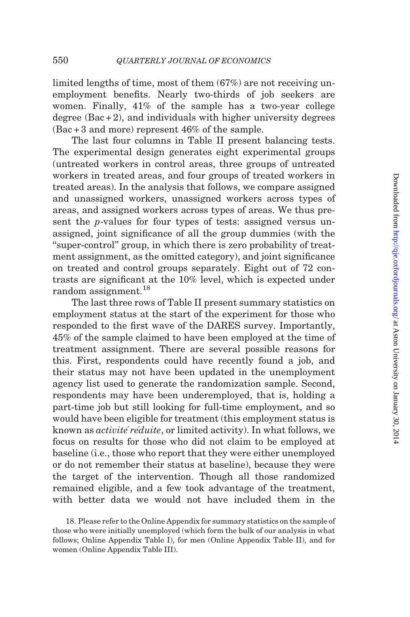limited lengths of time, most of them (67%) are not receiving unemployment benefits. Nearly two-thirds of job seekers are women. Finally, 41% of the sample has a two-year college degree  $(Bac + 2)$ , and individuals with higher university degrees (Bac + 3 and more) represent 46% of the sample.

The last four columns in [Table II](#page-18-0) present balancing tests. The experimental design generates eight experimental groups (untreated workers in control areas, three groups of untreated workers in treated areas, and four groups of treated workers in treated areas). In the analysis that follows, we compare assigned and unassigned workers, unassigned workers across types of areas, and assigned workers across types of areas. We thus present the p-values for four types of tests: assigned versus unassigned, joint significance of all the group dummies (with the ''super-control'' group, in which there is zero probability of treatment assignment, as the omitted category), and joint significance on treated and control groups separately. Eight out of 72 contrasts are significant at the 10% level, which is expected under random assignment.18

The last three rows of [Table II](#page-18-0) present summary statistics on employment status at the start of the experiment for those who responded to the first wave of the DARES survey. Importantly, 45% of the sample claimed to have been employed at the time of treatment assignment. There are several possible reasons for this. First, respondents could have recently found a job, and their status may not have been updated in the unemployment agency list used to generate the randomization sample. Second, respondents may have been underemployed, that is, holding a part-time job but still looking for full-time employment, and so would have been eligible for treatment (this employment status is known as *activité réduite*, or limited activity). In what follows, we focus on results for those who did not claim to be employed at baseline (i.e., those who report that they were either unemployed or do not remember their status at baseline), because they were the target of the intervention. Though all those randomized remained eligible, and a few took advantage of the treatment, with better data we would not have included them in the

<sup>18.</sup> Please refer to the [Online Appendix](http://hwmaint.qje.oxfordjournals.org/lookup/suppl/doi:10.1093/qje/qjt001/-/DC1) for summary statistics on the sample of those who were initially unemployed (which form the bulk of our analysis in what follows; [Online Appendix Table I\)](http://hwmaint.qje.oxfordjournals.org/lookup/suppl/doi:10.1093/qje/qjt001/-/DC1), for men [\(Online Appendix Table II](http://hwmaint.qje.oxfordjournals.org/lookup/suppl/doi:10.1093/qje/qjt001/-/DC1)), and for women [\(Online Appendix Table III](http://hwmaint.qje.oxfordjournals.org/lookup/suppl/doi:10.1093/qje/qjt001/-/DC1)).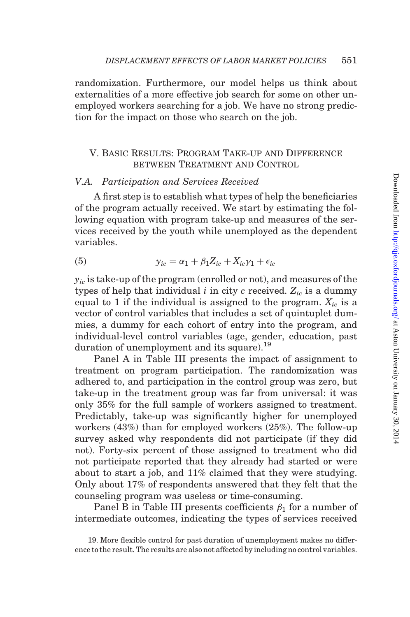<span id="page-20-0"></span>randomization. Furthermore, our model helps us think about externalities of a more effective job search for some on other unemployed workers searching for a job. We have no strong prediction for the impact on those who search on the job.

# V. Basic Results: Program Take-up and Difference between Treatment and Control

#### V.A. Participation and Services Received

A first step is to establish what types of help the beneficiaries of the program actually received. We start by estimating the following equation with program take-up and measures of the services received by the youth while unemployed as the dependent variables.

(5) 
$$
y_{ic} = \alpha_1 + \beta_1 Z_{ic} + X_{ic} \gamma_1 + \epsilon_{ic}
$$

 $y_{ic}$  is take-up of the program (enrolled or not), and measures of the types of help that individual i in city c received.  $Z_{ic}$  is a dummy equal to 1 if the individual is assigned to the program.  $X_{ic}$  is a vector of control variables that includes a set of quintuplet dummies, a dummy for each cohort of entry into the program, and individual-level control variables (age, gender, education, past duration of unemployment and its square).<sup>19</sup>

Panel A in [Table III](#page-21-0) presents the impact of assignment to treatment on program participation. The randomization was adhered to, and participation in the control group was zero, but take-up in the treatment group was far from universal: it was only 35% for the full sample of workers assigned to treatment. Predictably, take-up was significantly higher for unemployed workers (43%) than for employed workers (25%). The follow-up survey asked why respondents did not participate (if they did not). Forty-six percent of those assigned to treatment who did not participate reported that they already had started or were about to start a job, and 11% claimed that they were studying. Only about 17% of respondents answered that they felt that the counseling program was useless or time-consuming.

Panel B in [Table III](#page-21-0) presents coefficients  $\beta_1$  for a number of intermediate outcomes, indicating the types of services received

<sup>19.</sup> More flexible control for past duration of unemployment makes no difference to the result. The results are also not affected by including no control variables.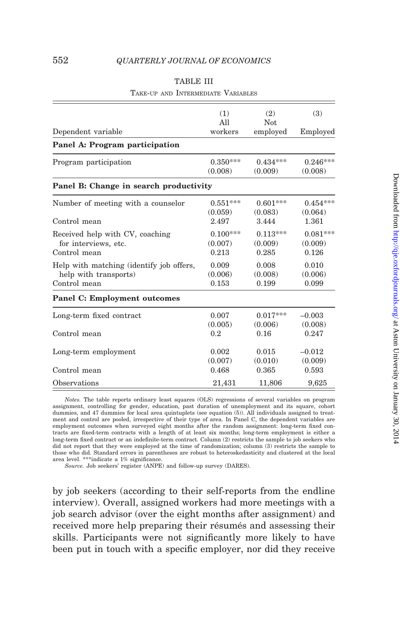<span id="page-21-0"></span>

| Dependent variable                                                                | (1)<br>All<br>workers          | (2)<br><b>Not</b><br>employed  | (3)<br>Employed                |
|-----------------------------------------------------------------------------------|--------------------------------|--------------------------------|--------------------------------|
| Panel A: Program participation                                                    |                                |                                |                                |
| Program participation                                                             | $0.350***$<br>(0.008)          | $0.434***$<br>(0.009)          | $0.246***$<br>(0.008)          |
| Panel B: Change in search productivity                                            |                                |                                |                                |
| Number of meeting with a counselor<br>Control mean                                | $0.551***$<br>(0.059)<br>2.497 | $0.601***$<br>(0.083)<br>3.444 | $0.454***$<br>(0.064)<br>1.361 |
| Received help with CV, coaching<br>for interviews, etc.<br>Control mean           | $0.100***$<br>(0.007)<br>0.213 | $0.113***$<br>(0.009)<br>0.285 | $0.081***$<br>(0.009)<br>0.126 |
| Help with matching (identify job offers,<br>help with transports)<br>Control mean | 0.009<br>(0.006)<br>0.153      | 0.008<br>(0.008)<br>0.199      | 0.010<br>(0.006)<br>0.099      |
| <b>Panel C: Employment outcomes</b>                                               |                                |                                |                                |
| Long-term fixed contract                                                          | 0.007<br>(0.005)               | $0.017***$<br>(0.006)          | $-0.003$<br>(0.008)            |
| Control mean                                                                      | 0.2                            | 0.16                           | 0.247                          |
| Long-term employment                                                              | 0.002<br>(0.007)               | 0.015<br>(0.010)               | $-0.012$<br>(0.009)            |
| Control mean<br>Observations                                                      | 0.468<br>21,431                | 0.365<br>11,806                | 0.593<br>9,625                 |

TABLE III TAKE-UP AND INTERMEDIATE VARIABLES

Notes. The table reports ordinary least squares (OLS) regressions of several variables on program assignment, controlling for gender, education, past duration of unemployment and its square, cohort dummies, and 47 dummies for local area quintuplets (see [equation \(5\)\)](#page-20-0). All individuals assigned to treatment and control are pooled, irrespective of their type of area. In Panel C, the dependent variables are employment outcomes when surveyed eight months after the random assignment: long-term fixed contracts are fixed-term contracts with a length of at least six months; long-term employment is either a long-term fixed contract or an indefinite-term contract. Column (2) restricts the sample to job seekers who did not report that they were employed at the time of randomization; column (3) restricts the sample to those who did. Standard errors in parentheses are robust to heteroskedasticity and clustered at the local area level. \*\*\*indicate a 1% significance.

Source. Job seekers' register (ANPE) and follow-up survey (DARES).

by job seekers (according to their self-reports from the endline interview). Overall, assigned workers had more meetings with a job search advisor (over the eight months after assignment) and received more help preparing their résumés and assessing their skills. Participants were not significantly more likely to have been put in touch with a specific employer, nor did they receive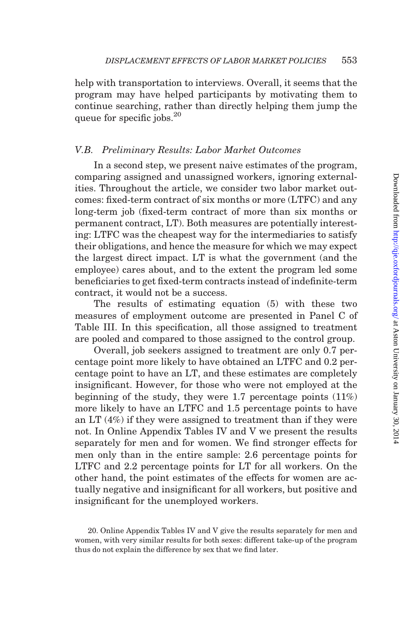help with transportation to interviews. Overall, it seems that the program may have helped participants by motivating them to continue searching, rather than directly helping them jump the queue for specific jobs.<sup>20</sup>

### V.B. Preliminary Results: Labor Market Outcomes

In a second step, we present naive estimates of the program, comparing assigned and unassigned workers, ignoring externalities. Throughout the article, we consider two labor market outcomes: fixed-term contract of six months or more (LTFC) and any long-term job (fixed-term contract of more than six months or permanent contract, LT). Both measures are potentially interesting: LTFC was the cheapest way for the intermediaries to satisfy their obligations, and hence the measure for which we may expect the largest direct impact. LT is what the government (and the employee) cares about, and to the extent the program led some beneficiaries to get fixed-term contracts instead of indefinite-term contract, it would not be a success.

The results of estimating [equation \(5\)](#page-20-0) with these two measures of employment outcome are presented in Panel C of [Table III.](#page-21-0) In this specification, all those assigned to treatment are pooled and compared to those assigned to the control group.

Overall, job seekers assigned to treatment are only 0.7 percentage point more likely to have obtained an LTFC and 0.2 percentage point to have an LT, and these estimates are completely insignificant. However, for those who were not employed at the beginning of the study, they were 1.7 percentage points (11%) more likely to have an LTFC and 1.5 percentage points to have an LT (4%) if they were assigned to treatment than if they were not. In [Online Appendix Tables IV](http://hwmaint.qje.oxfordjournals.org/lookup/suppl/doi:10.1093/qje/qjt001/-/DC1) and [V](http://hwmaint.qje.oxfordjournals.org/lookup/suppl/doi:10.1093/qje/qjt001/-/DC1) we present the results separately for men and for women. We find stronger effects for men only than in the entire sample: 2.6 percentage points for LTFC and 2.2 percentage points for LT for all workers. On the other hand, the point estimates of the effects for women are actually negative and insignificant for all workers, but positive and insignificant for the unemployed workers.

<sup>20.</sup> [Online Appendix Tables IV](http://hwmaint.qje.oxfordjournals.org/lookup/suppl/doi:10.1093/qje/qjt001/-/DC1) and [V](http://hwmaint.qje.oxfordjournals.org/lookup/suppl/doi:10.1093/qje/qjt001/-/DC1) give the results separately for men and women, with very similar results for both sexes: different take-up of the program thus do not explain the difference by sex that we find later.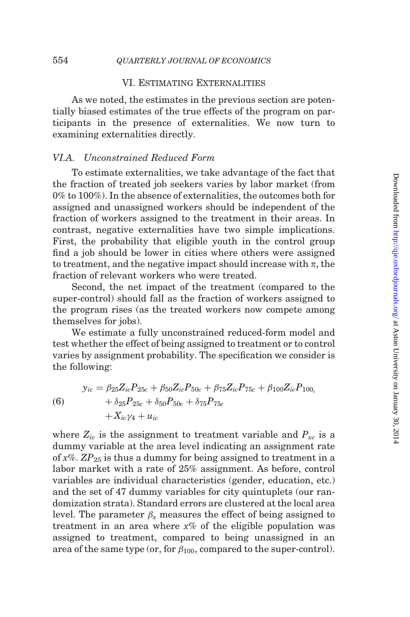#### VI. Estimating Externalities

<span id="page-23-0"></span>As we noted, the estimates in the previous section are potentially biased estimates of the true effects of the program on participants in the presence of externalities. We now turn to examining externalities directly.

## VI.A. Unconstrained Reduced Form

To estimate externalities, we take advantage of the fact that the fraction of treated job seekers varies by labor market (from 0% to 100%). In the absence of externalities, the outcomes both for assigned and unassigned workers should be independent of the fraction of workers assigned to the treatment in their areas. In contrast, negative externalities have two simple implications. First, the probability that eligible youth in the control group find a job should be lower in cities where others were assigned to treatment, and the negative impact should increase with  $\pi$ , the fraction of relevant workers who were treated.

Second, the net impact of the treatment (compared to the super-control) should fall as the fraction of workers assigned to the program rises (as the treated workers now compete among themselves for jobs).

We estimate a fully unconstrained reduced-form model and test whether the effect of being assigned to treatment or to control varies by assignment probability. The specification we consider is the following:

(6)  
\n
$$
y_{ic} = \beta_{25} Z_{ic} P_{25c} + \beta_{50} Z_{ic} P_{50c} + \beta_{75} Z_{ic} P_{75c} + \beta_{100} Z_{ic} P_{100c} + \delta_{25} P_{25c} + \delta_{50} P_{50c} + \delta_{75} P_{75c} + X_{ic} \gamma_4 + u_{ic}
$$

where  $Z_{ic}$  is the assignment to treatment variable and  $P_{xc}$  is a dummy variable at the area level indicating an assignment rate of  $x\%$ .  $ZP_{25}$  is thus a dummy for being assigned to treatment in a labor market with a rate of 25% assignment. As before, control variables are individual characteristics (gender, education, etc.) and the set of 47 dummy variables for city quintuplets (our randomization strata). Standard errors are clustered at the local area level. The parameter  $\beta_r$  measures the effect of being assigned to treatment in an area where  $x\%$  of the eligible population was assigned to treatment, compared to being unassigned in an area of the same type (or, for  $\beta_{100}$ , compared to the super-control).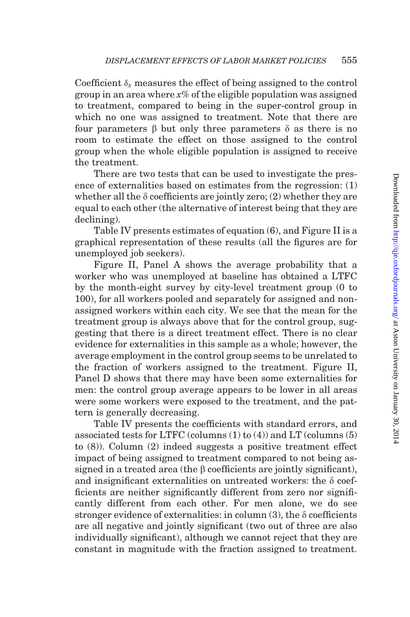Coefficient  $\delta_x$  measures the effect of being assigned to the control group in an area where  $x\%$  of the eligible population was assigned to treatment, compared to being in the super-control group in which no one was assigned to treatment. Note that there are four parameters  $\beta$  but only three parameters  $\delta$  as there is no room to estimate the effect on those assigned to the control group when the whole eligible population is assigned to receive the treatment.

There are two tests that can be used to investigate the presence of externalities based on estimates from the regression: (1) whether all the  $\delta$  coefficients are jointly zero; (2) whether they are equal to each other (the alternative of interest being that they are declining).

[Table IV](#page-25-0) presents estimates of [equation \(6\),](#page-23-0) and [Figure II](#page-27-0) is a graphical representation of these results (all the figures are for unemployed job seekers).

[Figure II,](#page-27-0) Panel A shows the average probability that a worker who was unemployed at baseline has obtained a LTFC by the month-eight survey by city-level treatment group (0 to 100), for all workers pooled and separately for assigned and nonassigned workers within each city. We see that the mean for the treatment group is always above that for the control group, suggesting that there is a direct treatment effect. There is no clear evidence for externalities in this sample as a whole; however, the average employment in the control group seems to be unrelated to the fraction of workers assigned to the treatment. [Figure II,](#page-27-0) Panel D shows that there may have been some externalities for men: the control group average appears to be lower in all areas were some workers were exposed to the treatment, and the pattern is generally decreasing.

[Table IV](#page-25-0) presents the coefficients with standard errors, and associated tests for LTFC (columns (1) to (4)) and LT (columns (5) to (8)). Column (2) indeed suggests a positive treatment effect impact of being assigned to treatment compared to not being assigned in a treated area (the  $\beta$  coefficients are jointly significant), and insignificant externalities on untreated workers: the  $\delta$  coefficients are neither significantly different from zero nor significantly different from each other. For men alone, we do see stronger evidence of externalities: in column  $(3)$ , the  $\delta$  coefficients are all negative and jointly significant (two out of three are also individually significant), although we cannot reject that they are constant in magnitude with the fraction assigned to treatment.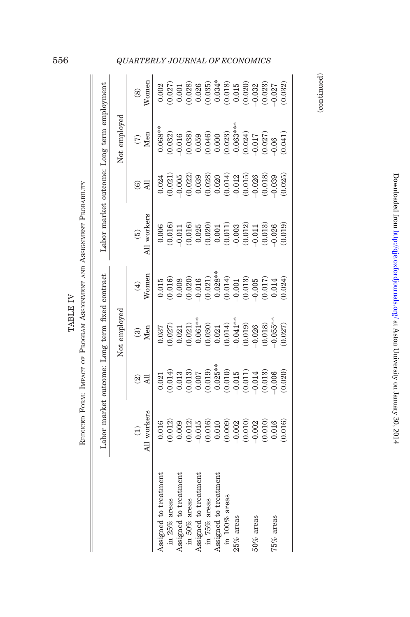|                       | Labor market outcome: Long term fixed contract |                                                                   |                                                   |                                                                                                         |                                               |                      | Labor market outcome: Long term employment |                         |
|-----------------------|------------------------------------------------|-------------------------------------------------------------------|---------------------------------------------------|---------------------------------------------------------------------------------------------------------|-----------------------------------------------|----------------------|--------------------------------------------|-------------------------|
|                       |                                                |                                                                   | Not employed                                      |                                                                                                         |                                               |                      | Not employed                               |                         |
|                       | All workers                                    | $\overline{AB}$<br>$\widehat{\mathfrak{D}}$                       | Men<br>ම                                          | $N$ omen<br>$\bigoplus$                                                                                 | All workers<br>$\widehat{5}$                  | $\overline{AB}$<br>ۣ | Men<br>E                                   | Womer<br>$\circledcirc$ |
| Assigned to treatment | 0.016                                          | 0.021                                                             | 0.037                                             | 0.015                                                                                                   | 0.006                                         | 0.024                | $0.068***$                                 | 0.002                   |
| in 25% areas          | 0.012                                          | $\binom{0.014}{0.013}$                                            | $\frac{0.027}{0.021}$                             | $\begin{array}{c} 0.016 \\ 0.008 \end{array}$                                                           | $\begin{array}{c} 0.016 \\ 0.011 \end{array}$ | 0.021                | 0.032)                                     | 0.027                   |
| Assigned to treatment | 0.009                                          |                                                                   |                                                   |                                                                                                         |                                               | 0.005                | 0.016                                      | 0.001                   |
| in 50% areas          | (0.012)                                        |                                                                   |                                                   |                                                                                                         | 0.016                                         | 0.022                | 0.038)                                     | 0.028)                  |
| Assigned to treatment | 0.015                                          | $\begin{array}{c} (0.013) \\ 0.007 \\ 0.019 \end{array}$          | $\begin{array}{c} (0.021) \\ 0.061** \end{array}$ |                                                                                                         | 0.025                                         | 0.039                | 0.059                                      | 0.026                   |
| in 75% areas          | (0.016)                                        |                                                                   | 0.030)                                            |                                                                                                         | (0.020)                                       | (0.028)              | 0.046                                      | (0.035)                 |
| Assigned to treatment | (60000)                                        |                                                                   | 0.021                                             |                                                                                                         | 0.001                                         | 0.020                | 0.000                                      | $0.034*$                |
| in 100% areas         |                                                | $\begin{array}{c} 0.025** \cr (0.010) \cr -0.015 \cr \end{array}$ | $(0.014)$<br>$-0.041***$                          | $\begin{array}{l} (0.020) \\ -0.016 \\ 0.021) \\ 0.028^{***} \\ 0.014) \\ 0.014) \\ -0.001 \end{array}$ | (0.011)                                       | (0.014)              | (0.023)                                    | 0.018)                  |
| $25\%$ areas          | $-0.002$                                       |                                                                   |                                                   |                                                                                                         | $-0.003$                                      | $-0.012$             | $0.063***$                                 | 0.015                   |
|                       | (0.010)                                        | 0.011)                                                            | $(0.019)$<br>$0.026$                              | $(0.013)$<br>$-0.005$                                                                                   | 0.012                                         | (0.015)              | (0.024)                                    | 0.020)                  |
| $50\%$ areas          | 0.002                                          | 0.014                                                             |                                                   |                                                                                                         | 0.011                                         | 0.026                | $0.017$                                    | 0.032                   |
|                       | (0.010)                                        | (0.013)                                                           | $(0.018)$<br>$-0.055***$                          | (0.017)                                                                                                 | (0.013)                                       | (0.018)              | (0.027)                                    | 0.023)                  |
| 75% areas             | 0.016                                          | 0.006                                                             |                                                   | 0.014                                                                                                   | 0.026                                         | 0.039                | 0.06                                       | 0.027                   |
|                       | (0.016)                                        | (0.020)                                                           | 0.027)                                            | (0.024)                                                                                                 | (0.019)                                       | (0.025)              | (0.041)                                    | 0.032)                  |
|                       |                                                |                                                                   |                                                   |                                                                                                         |                                               |                      |                                            |                         |

REDUCED FORM: IMPACT OF PROGRAM ASSIGNMENT AND ASSIGNMENT PROBABILITY REDUCED FORM: IMPACT OF PROGRAM ASSIGNMENT AND ASSIGNMENT PROBABILITY TABLE IV TABLE IV

# <span id="page-25-0"></span>556 QUARTERLY JOURNAL OF ECONOMICS

Downloaded from http://qje.oxfordjournals.org/ at Aston University on January 30, 2014 Downloaded from <http://qje.oxfordjournals.org/> at Aston University on January 30, 2014

(continued)

 $(continued)$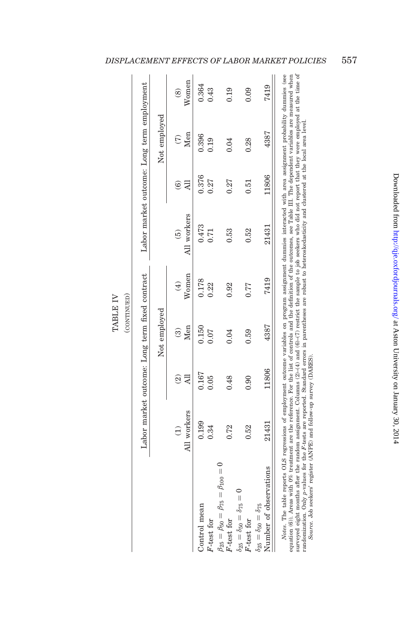|                                                                        |                                                |                                 | (CONTINUED)  |                      |                                            |                              |                        |                      |
|------------------------------------------------------------------------|------------------------------------------------|---------------------------------|--------------|----------------------|--------------------------------------------|------------------------------|------------------------|----------------------|
|                                                                        | Labor market outcome: Long term fixed contract |                                 |              |                      | Labor market outcome: Long term employment |                              |                        |                      |
|                                                                        |                                                |                                 | Not employed |                      |                                            |                              | Not employed           |                      |
|                                                                        | All workers                                    | All<br>$\widehat{\mathfrak{D}}$ | Men<br>ම     | Women<br>$\bigoplus$ | All workers<br>$\widehat{6}$               | $\overline{\mathrm{d}}$<br>ම | Men<br>$\widehat{\Xi}$ | Women<br>$\circledS$ |
| Control mean                                                           | 0.199                                          | 0.167                           | 0.150        | 0.178                | 0.473                                      | 0.376                        | 0.396                  | 0.364                |
| F-test for                                                             | 0.34                                           | 0.05                            | 0.07         | 0.22                 | 0.71                                       | 0.27                         | 0.19                   | 0.43                 |
| $\beta_{25} = \beta_{50} = \beta_{75} = \beta_{100} = 0$<br>F-test for | 0.72                                           | 0.48                            | 0.04         | 0.92                 | 0.53                                       | 0.27                         | 0.04                   | 0.19                 |
| $\delta_{25} = \delta_{50} = \delta_{75} = 0$<br>F-test for            | 0.52                                           | 0.90                            | 0.59         | 0.77                 | 0.52                                       | 0.51                         | 0.28                   | 0.09                 |
| Number of observations<br>$\delta_{25} = \delta_{50} = \delta_{75}$    | 21431                                          | 11806                           | 4387         | 7419                 | 21431                                      | 11806                        | 4387                   | 7419                 |

| $\ddot{\phantom{a}}$                                                                                                                                                                                                           | Notes. The table reports OLS regressions of employment outcome variables on program assignment dummies interacted with area assignment probability dummies (see<br>equation (6)). Areas with 0% treatment are the reference. For the list of controls and the definition of the outcomes, see Table III. The dependent variables are measured when | surveyed eight months after the random assignment. Columns $(2)$ – $(4)$ and $(6)$ – $(7)$ restrict the sample to job seekers who did not report that they were employed at the time of                                                 |
|--------------------------------------------------------------------------------------------------------------------------------------------------------------------------------------------------------------------------------|----------------------------------------------------------------------------------------------------------------------------------------------------------------------------------------------------------------------------------------------------------------------------------------------------------------------------------------------------|-----------------------------------------------------------------------------------------------------------------------------------------------------------------------------------------------------------------------------------------|
|                                                                                                                                                                                                                                |                                                                                                                                                                                                                                                                                                                                                    |                                                                                                                                                                                                                                         |
| $\vdots$                                                                                                                                                                                                                       |                                                                                                                                                                                                                                                                                                                                                    |                                                                                                                                                                                                                                         |
|                                                                                                                                                                                                                                |                                                                                                                                                                                                                                                                                                                                                    |                                                                                                                                                                                                                                         |
| :<br>:<br>:                                                                                                                                                                                                                    |                                                                                                                                                                                                                                                                                                                                                    |                                                                                                                                                                                                                                         |
|                                                                                                                                                                                                                                |                                                                                                                                                                                                                                                                                                                                                    |                                                                                                                                                                                                                                         |
| $\frac{1}{2}$                                                                                                                                                                                                                  |                                                                                                                                                                                                                                                                                                                                                    |                                                                                                                                                                                                                                         |
|                                                                                                                                                                                                                                |                                                                                                                                                                                                                                                                                                                                                    |                                                                                                                                                                                                                                         |
|                                                                                                                                                                                                                                |                                                                                                                                                                                                                                                                                                                                                    |                                                                                                                                                                                                                                         |
| $\ddot{\phantom{a}}$                                                                                                                                                                                                           |                                                                                                                                                                                                                                                                                                                                                    |                                                                                                                                                                                                                                         |
| $\frac{1}{2}$                                                                                                                                                                                                                  |                                                                                                                                                                                                                                                                                                                                                    |                                                                                                                                                                                                                                         |
|                                                                                                                                                                                                                                |                                                                                                                                                                                                                                                                                                                                                    |                                                                                                                                                                                                                                         |
| )<br> }<br> }                                                                                                                                                                                                                  |                                                                                                                                                                                                                                                                                                                                                    |                                                                                                                                                                                                                                         |
|                                                                                                                                                                                                                                |                                                                                                                                                                                                                                                                                                                                                    |                                                                                                                                                                                                                                         |
|                                                                                                                                                                                                                                |                                                                                                                                                                                                                                                                                                                                                    |                                                                                                                                                                                                                                         |
| $\frac{1}{2}$                                                                                                                                                                                                                  |                                                                                                                                                                                                                                                                                                                                                    |                                                                                                                                                                                                                                         |
|                                                                                                                                                                                                                                |                                                                                                                                                                                                                                                                                                                                                    |                                                                                                                                                                                                                                         |
| a continued in the continued of the continued of the continued of the continued of the continued of the continued of the continued of the continued of the continued of the continued of the continued of the continued of the |                                                                                                                                                                                                                                                                                                                                                    | randomization. Only p-values for the F-tests are reported. Standard errors in parentheses are robust to heteroskedasticity and clustered at the local area level.<br>Source. Job seekers' register (ANPE) and follow-up survey (DARES). |
|                                                                                                                                                                                                                                |                                                                                                                                                                                                                                                                                                                                                    |                                                                                                                                                                                                                                         |
|                                                                                                                                                                                                                                |                                                                                                                                                                                                                                                                                                                                                    |                                                                                                                                                                                                                                         |
|                                                                                                                                                                                                                                |                                                                                                                                                                                                                                                                                                                                                    |                                                                                                                                                                                                                                         |

DISPLACEMENT EFFECTS OF LABOR MARKET POLICIES 557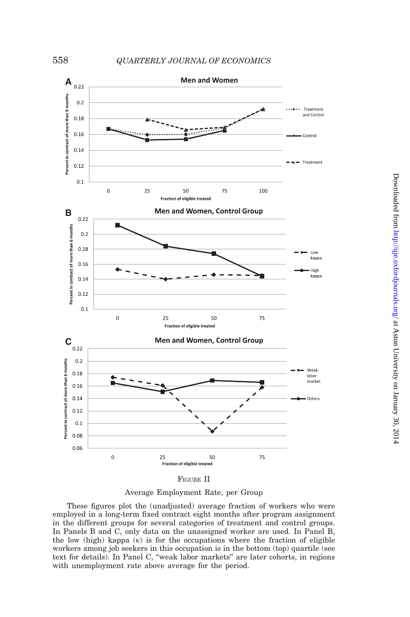<span id="page-27-0"></span>

FIGURE II

Average Employment Rate, per Group

These figures plot the (unadjusted) average fraction of workers who were employed in a long-term fixed contract eight months after program assignment in the different groups for several categories of treatment and control groups. In Panels B and C, only data on the unassigned worker are used. In Panel B, the low (high) kappa  $(\kappa)$  is for the occupations where the fraction of eligible workers among job seekers in this occupation is in the bottom (top) quartile (see text for details). In Panel C, ''weak labor markets'' are later cohorts, in regions with unemployment rate above average for the period.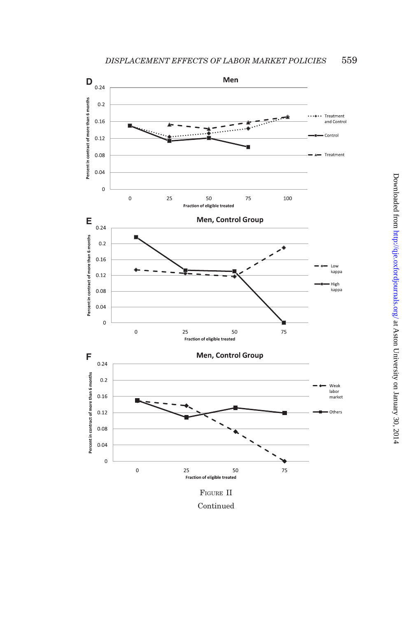

Continued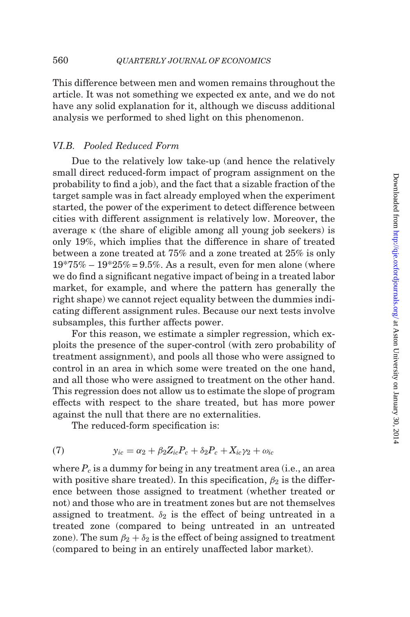<span id="page-29-0"></span>This difference between men and women remains throughout the article. It was not something we expected ex ante, and we do not have any solid explanation for it, although we discuss additional analysis we performed to shed light on this phenomenon.

# VI.B. Pooled Reduced Form

Due to the relatively low take-up (and hence the relatively small direct reduced-form impact of program assignment on the probability to find a job), and the fact that a sizable fraction of the target sample was in fact already employed when the experiment started, the power of the experiment to detect difference between cities with different assignment is relatively low. Moreover, the average  $\kappa$  (the share of eligible among all young job seekers) is only 19%, which implies that the difference in share of treated between a zone treated at 75% and a zone treated at 25% is only  $19*75\% - 19*25\% = 9.5\%$ . As a result, even for men alone (where we do find a significant negative impact of being in a treated labor market, for example, and where the pattern has generally the right shape) we cannot reject equality between the dummies indicating different assignment rules. Because our next tests involve subsamples, this further affects power.

For this reason, we estimate a simpler regression, which exploits the presence of the super-control (with zero probability of treatment assignment), and pools all those who were assigned to control in an area in which some were treated on the one hand, and all those who were assigned to treatment on the other hand. This regression does not allow us to estimate the slope of program effects with respect to the share treated, but has more power against the null that there are no externalities.

The reduced-form specification is:

(7) 
$$
y_{ic} = \alpha_2 + \beta_2 Z_{ic} P_c + \delta_2 P_c + X_{ic} \gamma_2 + \omega_{ic}
$$

where  $P_c$  is a dummy for being in any treatment area (i.e., an area with positive share treated). In this specification,  $\beta_2$  is the difference between those assigned to treatment (whether treated or not) and those who are in treatment zones but are not themselves assigned to treatment.  $\delta_2$  is the effect of being untreated in a treated zone (compared to being untreated in an untreated zone). The sum  $\beta_2 + \delta_2$  is the effect of being assigned to treatment (compared to being in an entirely unaffected labor market).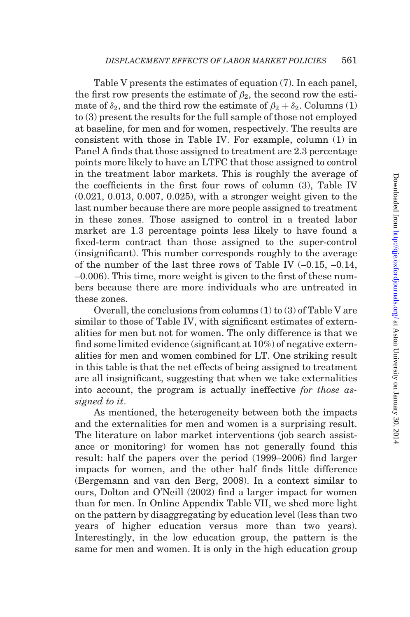[Table V](#page-31-0) presents the estimates of [equation \(7\)](#page-29-0). In each panel, the first row presents the estimate of  $\beta_2$ , the second row the estimate of  $\delta_2$ , and the third row the estimate of  $\beta_2 + \delta_2$ . Columns (1) to (3) present the results for the full sample of those not employed at baseline, for men and for women, respectively. The results are consistent with those in [Table IV.](#page-25-0) For example, column (1) in Panel A finds that those assigned to treatment are 2.3 percentage points more likely to have an LTFC that those assigned to control in the treatment labor markets. This is roughly the average of the coefficients in the first four rows of column (3), [Table IV](#page-25-0) (0.021, 0.013, 0.007, 0.025), with a stronger weight given to the last number because there are more people assigned to treatment in these zones. Those assigned to control in a treated labor market are 1.3 percentage points less likely to have found a fixed-term contract than those assigned to the super-control (insignificant). This number corresponds roughly to the average of the number of the last three rows of [Table IV](#page-25-0) (–0.15, –0.14, –0.006). This time, more weight is given to the first of these numbers because there are more individuals who are untreated in these zones.

Overall, the conclusions from columns (1) to (3) of [Table V](#page-31-0) are similar to those of [Table IV,](#page-25-0) with significant estimates of externalities for men but not for women. The only difference is that we find some limited evidence (significant at 10%) of negative externalities for men and women combined for LT. One striking result in this table is that the net effects of being assigned to treatment are all insignificant, suggesting that when we take externalities into account, the program is actually ineffective for those assigned to it.

As mentioned, the heterogeneity between both the impacts and the externalities for men and women is a surprising result. The literature on labor market interventions (job search assistance or monitoring) for women has not generally found this result: half the papers over the period (1999–2006) find larger impacts for women, and the other half finds little difference [\(Bergemann and van den Berg, 2008](#page-48-0)). In a context similar to ours, [Dolton and O'Neill \(2002\)](#page-48-0) find a larger impact for women than for men. In [Online Appendix Table VII](http://hwmaint.qje.oxfordjournals.org/lookup/suppl/doi:10.1093/qje/qjt001/-/DC1), we shed more light on the pattern by disaggregating by education level (less than two years of higher education versus more than two years). Interestingly, in the low education group, the pattern is the same for men and women. It is only in the high education group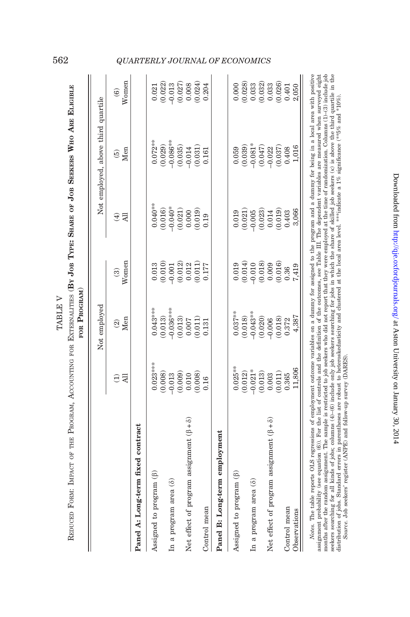|                         | i<br>İ<br>I<br>$\overline{a}$<br>Į<br> <br> <br> <br>۔<br>ج |                    |
|-------------------------|-------------------------------------------------------------|--------------------|
| i<br>$\frac{1}{4}$<br>I | I<br>i<br>I<br>l                                            | i<br>$\frac{1}{2}$ |
|                         | i<br>I                                                      |                    |

|                                                       |                                                                          | Not employed                                                                                   |                                                                                              |                                                                                             | Not employed, above third quartile                                                                    |                                                                                             |
|-------------------------------------------------------|--------------------------------------------------------------------------|------------------------------------------------------------------------------------------------|----------------------------------------------------------------------------------------------|---------------------------------------------------------------------------------------------|-------------------------------------------------------------------------------------------------------|---------------------------------------------------------------------------------------------|
|                                                       | $\overline{AB}$                                                          | Men<br>$\widehat{\mathfrak{A}}$                                                                | Women<br>$\widehat{\mathcal{C}}$                                                             | $\widehat{\mathfrak{t}}$<br>뒥                                                               | Men<br>$\widehat{\mathbf{e}}$                                                                         | Women<br>$\widehat{\mathbf{e}}$                                                             |
| Panel A: Long-term fixed contract                     |                                                                          |                                                                                                |                                                                                              |                                                                                             |                                                                                                       |                                                                                             |
| Assigned to program ( $\beta$ )                       | $0.023***$                                                               | $0.043***$                                                                                     | 0.013                                                                                        | $0.040**$                                                                                   |                                                                                                       | 0.021                                                                                       |
|                                                       |                                                                          |                                                                                                |                                                                                              |                                                                                             | $\begin{array}{l} 0.072**\\ 0.029)\\ 0.086**\\ 0.086**\\ 0.035)\\ 0.031\\ 0.014\\ 0.031) \end{array}$ |                                                                                             |
| In a program area ( $\delta$ )                        |                                                                          |                                                                                                |                                                                                              |                                                                                             |                                                                                                       |                                                                                             |
|                                                       |                                                                          |                                                                                                |                                                                                              |                                                                                             |                                                                                                       |                                                                                             |
| Net effect of program assignment ( $\beta + \delta$ ) | $(0.008)$<br>$-0.013$<br>$(0.009)$<br>$0.010$<br>$(0.008)$               | $\begin{array}{c} (0.013) \\ -0.036^{***} \\ (0.013) \\ 0.007 \\ 0.007 \\ (0.011) \end{array}$ | $\begin{array}{c} (0.010) \\ 0.001 \\ 0.012 \\ 0.012 \\ 0.011 \\ 0.011 \\ 0.011 \end{array}$ | $\begin{array}{c} (0.016) \\ 0.040^* \\ (0.021) \\ 0.000 \\ (0.019) \\ (0.019) \end{array}$ |                                                                                                       | $\begin{array}{c} (0.022) \\ (0.013) \\ (0.027) \\ (0.003) \\ (0.024) \end{array}$          |
|                                                       |                                                                          |                                                                                                |                                                                                              |                                                                                             |                                                                                                       |                                                                                             |
| Control mean                                          | 0.16                                                                     | 0.131                                                                                          | 0.177                                                                                        | 0.19                                                                                        | 0.161                                                                                                 | 0.204                                                                                       |
| Panel B: Long-term employment                         |                                                                          |                                                                                                |                                                                                              |                                                                                             |                                                                                                       |                                                                                             |
| Assigned to program ( $\beta$ )                       | $0.025***$                                                               | $0.037***$                                                                                     | 0.019                                                                                        | 0.019                                                                                       |                                                                                                       | 0.000                                                                                       |
|                                                       |                                                                          |                                                                                                |                                                                                              |                                                                                             |                                                                                                       |                                                                                             |
| In a program area $(\delta)$                          |                                                                          |                                                                                                |                                                                                              |                                                                                             |                                                                                                       |                                                                                             |
|                                                       | $\begin{array}{c} (0.012) \\ -0.021^{*} \\ (0.013) \\ 0.003 \end{array}$ | $(0.018)$<br>$-0.043**$<br>$(0.020)$<br>$-0.006$                                               | $\begin{array}{c} (0.014) \\ (0.010) \\ (0.010) \\ (0.010) \\ (0.016) \end{array}$           | $\begin{array}{c} (0.021) \\ 0.005 \\ 0.023) \\ 0.014 \\ 0.019 \end{array}$                 | $\begin{array}{l} 0.059\\0.030\\0.031\\0.047\\0.047\\0.022\\0.039\\0.031\\0.037 \end{array}$          | $\begin{array}{c} 0.028 \\ 0.033 \\ 0.032 \\ 0.033 \\ 0.033 \\ 0.036 \\ \hline \end{array}$ |
| Net effect of program assignment ( $\beta + \delta$ ) |                                                                          |                                                                                                |                                                                                              |                                                                                             |                                                                                                       |                                                                                             |
|                                                       | (0.011)                                                                  | (0.018)                                                                                        |                                                                                              |                                                                                             |                                                                                                       |                                                                                             |
| Control mean                                          | 0.365                                                                    | 0.372                                                                                          | 0.36                                                                                         | 0.403                                                                                       | 0.408                                                                                                 | 0.401                                                                                       |
| Observations                                          | 11,806                                                                   | 4,387                                                                                          | 7,419                                                                                        | 3,066                                                                                       | 1,016                                                                                                 | 2,050                                                                                       |
|                                                       |                                                                          |                                                                                                |                                                                                              |                                                                                             |                                                                                                       |                                                                                             |

months after the random assignment. The sample is restricted to job seekers who did not report that they wever mip,ved at the time of randomization. Columns (1)-(3) review is a segment. The sample is restricted to job seek Notes. The table reports OLS regressions of employment outcome variables on a dummy for assigned to the program and a dummy for being in a local area with positive assignment probability (see equation (6)). For the list of assignment probability (see [equation](#page-23-0) (6)). For the list of controls and the definition of the outcomes, see [Table](#page-21-0) III. The dependent variables are measured when surveyed eight months after the random assignment. The sample is restricted to job seekers who did not report that they were employed at the time of randomization. Columns (1)–(3) include job seekers searching for all kinds of jobs; columns (4)–(6) include only job seekers searching for jobs in which the share of skilled job seekers (k) is above the third quartile in the Notes. The table reports OLS regressions of employment outcome variables on a dummy for assigned to the program and a dummy for being in a local area with positive distribution of jobs. Standard errors in parentheses are robust to heteroskedasticity and clustered at the local area level. \*\*\*indicate a 1% significance (\*\*5% and \*10%).

Source. Job seekers' register (ANPE) and follow-up survey (DARES).

# <span id="page-31-0"></span>562 QUARTERLY JOURNAL OF ECONOMICS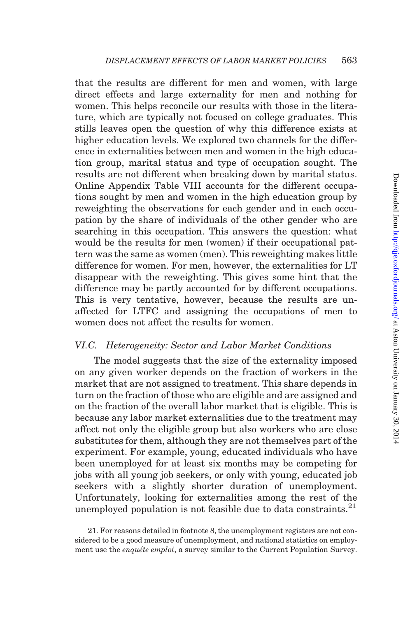that the results are different for men and women, with large direct effects and large externality for men and nothing for women. This helps reconcile our results with those in the literature, which are typically not focused on college graduates. This stills leaves open the question of why this difference exists at higher education levels. We explored two channels for the difference in externalities between men and women in the high education group, marital status and type of occupation sought. The results are not different when breaking down by marital status. [Online Appendix Table VIII](http://hwmaint.qje.oxfordjournals.org/lookup/suppl/doi:10.1093/qje/qjt001/-/DC1) accounts for the different occupations sought by men and women in the high education group by reweighting the observations for each gender and in each occupation by the share of individuals of the other gender who are searching in this occupation. This answers the question: what would be the results for men (women) if their occupational pattern was the same as women (men). This reweighting makes little difference for women. For men, however, the externalities for LT disappear with the reweighting. This gives some hint that the difference may be partly accounted for by different occupations. This is very tentative, however, because the results are unaffected for LTFC and assigning the occupations of men to women does not affect the results for women.

#### VI.C. Heterogeneity: Sector and Labor Market Conditions

The model suggests that the size of the externality imposed on any given worker depends on the fraction of workers in the market that are not assigned to treatment. This share depends in turn on the fraction of those who are eligible and are assigned and on the fraction of the overall labor market that is eligible. This is because any labor market externalities due to the treatment may affect not only the eligible group but also workers who are close substitutes for them, although they are not themselves part of the experiment. For example, young, educated individuals who have been unemployed for at least six months may be competing for jobs with all young job seekers, or only with young, educated job seekers with a slightly shorter duration of unemployment. Unfortunately, looking for externalities among the rest of the unemployed population is not feasible due to data constraints. $^{21}$ 

<sup>21.</sup> For reasons detailed in footnote 8, the unemployment registers are not considered to be a good measure of unemployment, and national statistics on employment use the enquete emploi, a survey similar to the Current Population Survey.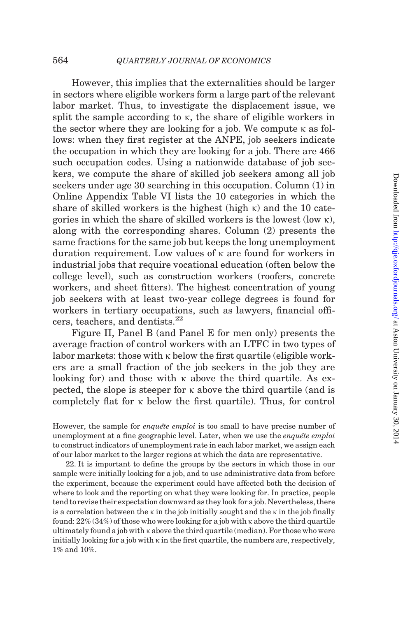However, this implies that the externalities should be larger in sectors where eligible workers form a large part of the relevant labor market. Thus, to investigate the displacement issue, we split the sample according to  $\kappa$ , the share of eligible workers in the sector where they are looking for a job. We compute  $\kappa$  as follows: when they first register at the ANPE, job seekers indicate the occupation in which they are looking for a job. There are 466 such occupation codes. Using a nationwide database of job seekers, we compute the share of skilled job seekers among all job seekers under age 30 searching in this occupation. Column (1) in [Online Appendix Table VI](http://hwmaint.qje.oxfordjournals.org/lookup/suppl/doi:10.1093/qje/qjt001/-/DC1) lists the 10 categories in which the share of skilled workers is the highest (high  $\kappa$ ) and the 10 categories in which the share of skilled workers is the lowest (low  $\kappa$ ), along with the corresponding shares. Column (2) presents the same fractions for the same job but keeps the long unemployment duration requirement. Low values of k are found for workers in industrial jobs that require vocational education (often below the college level), such as construction workers (roofers, concrete workers, and sheet fitters). The highest concentration of young job seekers with at least two-year college degrees is found for workers in tertiary occupations, such as lawyers, financial officers, teachers, and dentists.<sup>22</sup>

[Figure II,](#page-27-0) Panel B (and Panel E for men only) presents the average fraction of control workers with an LTFC in two types of labor markets: those with k below the first quartile (eligible workers are a small fraction of the job seekers in the job they are looking for) and those with  $\kappa$  above the third quartile. As expected, the slope is steeper for k above the third quartile (and is completely flat for k below the first quartile). Thus, for control

22. It is important to define the groups by the sectors in which those in our sample were initially looking for a job, and to use administrative data from before the experiment, because the experiment could have affected both the decision of where to look and the reporting on what they were looking for. In practice, people tend to revise their expectation downward as they look for a job. Nevertheless, there is a correlation between the  $\kappa$  in the job initially sought and the  $\kappa$  in the job finally found:  $22\%$  (34%) of those who were looking for a job with k above the third quartile ultimately found a job with  $\kappa$  above the third quartile (median). For those who were initially looking for a job with  $\kappa$  in the first quartile, the numbers are, respectively, 1% and 10%.

However, the sample for enquête emploi is too small to have precise number of unemployment at a fine geographic level. Later, when we use the *enquête emploi* to construct indicators of unemployment rate in each labor market, we assign each of our labor market to the larger regions at which the data are representative.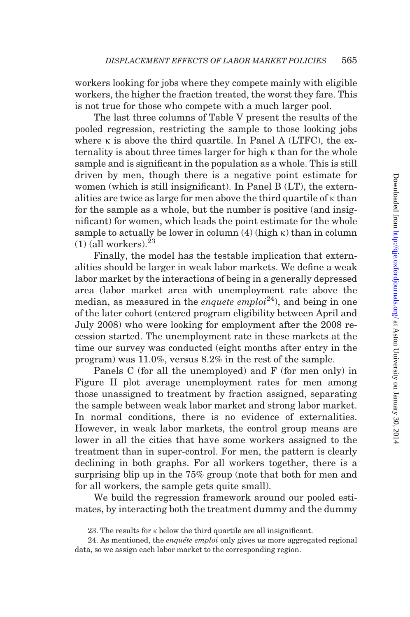workers looking for jobs where they compete mainly with eligible workers, the higher the fraction treated, the worst they fare. This is not true for those who compete with a much larger pool.

The last three columns of [Table V](#page-31-0) present the results of the pooled regression, restricting the sample to those looking jobs where  $\kappa$  is above the third quartile. In Panel A (LTFC), the externality is about three times larger for high  $\kappa$  than for the whole sample and is significant in the population as a whole. This is still driven by men, though there is a negative point estimate for women (which is still insignificant). In Panel B (LT), the externalities are twice as large for men above the third quartile of  $\kappa$  than for the sample as a whole, but the number is positive (and insignificant) for women, which leads the point estimate for the whole sample to actually be lower in column  $(4)$  (high  $\kappa$ ) than in column  $(1)$  (all workers).<sup>23</sup>

Finally, the model has the testable implication that externalities should be larger in weak labor markets. We define a weak labor market by the interactions of being in a generally depressed area (labor market area with unemployment rate above the median, as measured in the *enquete emploi*<sup>24</sup>), and being in one of the later cohort (entered program eligibility between April and July 2008) who were looking for employment after the 2008 recession started. The unemployment rate in these markets at the time our survey was conducted (eight months after entry in the program) was 11.0%, versus 8.2% in the rest of the sample.

Panels C (for all the unemployed) and F (for men only) [in](#page-27-0) [Figure II](#page-27-0) plot average unemployment rates for men among those unassigned to treatment by fraction assigned, separating the sample between weak labor market and strong labor market. In normal conditions, there is no evidence of externalities. However, in weak labor markets, the control group means are lower in all the cities that have some workers assigned to the treatment than in super-control. For men, the pattern is clearly declining in both graphs. For all workers together, there is a surprising blip up in the 75% group (note that both for men and for all workers, the sample gets quite small).

We build the regression framework around our pooled estimates, by interacting both the treatment dummy and the dummy

<sup>23.</sup> The results for  $\kappa$  below the third quartile are all insignificant.

<sup>24.</sup> As mentioned, the *enquête emploi* only gives us more aggregated regional data, so we assign each labor market to the corresponding region.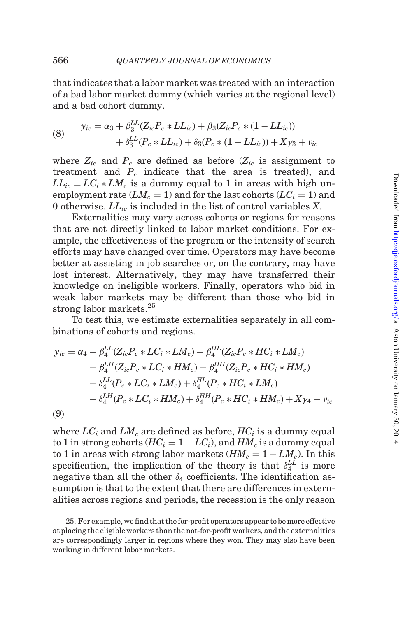that indicates that a labor market was treated with an interaction of a bad labor market dummy (which varies at the regional level) and a bad cohort dummy.

(8) 
$$
y_{ic} = \alpha_3 + \beta_3^{LL}(Z_{ic}P_c * LL_{ic}) + \beta_3(Z_{ic}P_c * (1 - LL_{ic})) + \delta_3^{LL}(P_c * LL_{ic}) + \delta_3(P_c * (1 - LL_{ic})) + X\gamma_3 + \nu_{ic}
$$

where  $Z_{ic}$  and  $P_c$  are defined as before  $(Z_{ic}$  is assignment to treatment and  $P_c$  indicate that the area is treated), and  $LL_{ic} = LC_i * LM_c$  is a dummy equal to 1 in areas with high unemployment rate  $(LM_c = 1)$  and for the last cohorts  $(LC_i = 1)$  and 0 otherwise.  $LL_{ic}$  is included in the list of control variables X.

Externalities may vary across cohorts or regions for reasons that are not directly linked to labor market conditions. For example, the effectiveness of the program or the intensity of search efforts may have changed over time. Operators may have become better at assisting in job searches or, on the contrary, may have lost interest. Alternatively, they may have transferred their knowledge on ineligible workers. Finally, operators who bid in weak labor markets may be different than those who bid in strong labor markets.<sup>25</sup>

To test this, we estimate externalities separately in all combinations of cohorts and regions.

$$
y_{ic} = \alpha_4 + \beta_4^{LL}(Z_{ic}P_c * LC_i * LM_c) + \beta_4^{HL}(Z_{ic}P_c * HC_i * LM_c) + \beta_4^{LH}(Z_{ic}P_c * LC_i * HM_c) + \beta_4^{HH}(Z_{ic}P_c * HC_i * HM_c) + \delta_4^{LL}(P_c * LC_i * LM_c) + \delta_4^{HL}(P_c * HC_i * LM_c) + \delta_4^{LH}(P_c * LC_i * HM_c) + \delta_4^{HH}(P_c * HC_i * HM_c) + X\gamma_4 + \nu_{ic}
$$
\n(9)

where  $LC_i$  and  $LM_c$  are defined as before,  $HC_i$  is a dummy equal to 1 in strong cohorts ( $HC_i = 1 - LC_i$ ), and  $HM_c$  is a dummy equal to 1 in areas with strong labor markets  $(HM_c = 1 - LM_c)$ . In this specification, the implication of the theory is that  $\delta_4^{LL}$  is more negative than all the other  $\delta_4$  coefficients. The identification assumption is that to the extent that there are differences in externalities across regions and periods, the recession is the only reason

25. For example, we find that the for-profit operators appear to be more effective at placing the eligible workers than the not-for-profit workers, and the externalities are correspondingly larger in regions where they won. They may also have been working in different labor markets.

<span id="page-35-0"></span>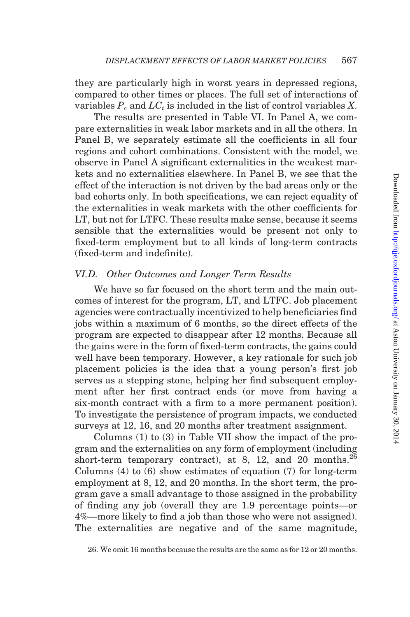they are particularly high in worst years in depressed regions, compared to other times or places. The full set of interactions of variables  $P_c$  and  $LC_i$  is included in the list of control variables X.

The results are presented in [Table VI.](#page-37-0) In Panel A, we compare externalities in weak labor markets and in all the others. In Panel B, we separately estimate all the coefficients in all four regions and cohort combinations. Consistent with the model, we observe in Panel A significant externalities in the weakest markets and no externalities elsewhere. In Panel B, we see that the effect of the interaction is not driven by the bad areas only or the bad cohorts only. In both specifications, we can reject equality of the externalities in weak markets with the other coefficients for LT, but not for LTFC. These results make sense, because it seems sensible that the externalities would be present not only to fixed-term employment but to all kinds of long-term contracts (fixed-term and indefinite).

### VI.D. Other Outcomes and Longer Term Results

We have so far focused on the short term and the main outcomes of interest for the program, LT, and LTFC. Job placement agencies were contractually incentivized to help beneficiaries find jobs within a maximum of 6 months, so the direct effects of the program are expected to disappear after 12 months. Because all the gains were in the form of fixed-term contracts, the gains could well have been temporary. However, a key rationale for such job placement policies is the idea that a young person's first job serves as a stepping stone, helping her find subsequent employment after her first contract ends (or move from having a six-month contract with a firm to a more permanent position). To investigate the persistence of program impacts, we conducted surveys at 12, 16, and 20 months after treatment assignment.

Columns (1) to (3) in [Table VII](#page-38-0) show the impact of the program and the externalities on any form of employment (including short-term temporary contract), at 8, 12, and 20 months.<sup>26</sup> Columns (4) to (6) show estimates of [equation \(7\)](#page-29-0) for long-term employment at 8, 12, and 20 months. In the short term, the program gave a small advantage to those assigned in the probability of finding any job (overall they are 1.9 percentage points—or 4%—more likely to find a job than those who were not assigned). The externalities are negative and of the same magnitude,

26. We omit 16 months because the results are the same as for 12 or 20 months.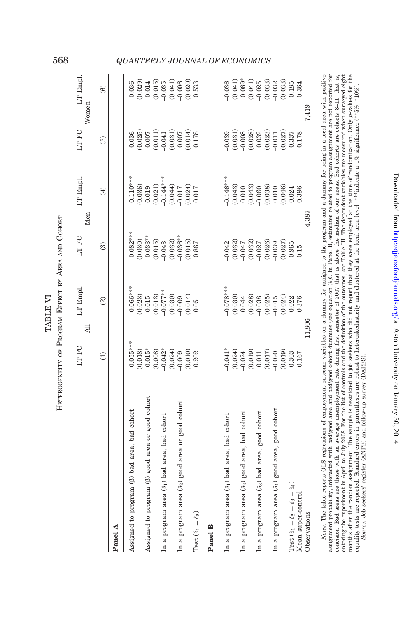|        | :<br>;                                 |
|--------|----------------------------------------|
|        |                                        |
|        | " BY AREA AND L                        |
|        |                                        |
| mann E | <b>H.TELLA</b><br>֥֢֝֝֜֜׆֧<br>֧֝֜<br>j |
|        | :<br>PROCRAM                           |
|        |                                        |
|        | ITY OF 1<br>í                          |

**TARLE VI** 

|                                                              | LT FC                                                                         | LT Empl<br>$\overline{a}$                                                                                                                                                   | LT FC                                                                                                                                                        | LT Empl<br>Men                                                                      | LT FC                                                                                                                              | LT Empl<br>Women                                                                     |
|--------------------------------------------------------------|-------------------------------------------------------------------------------|-----------------------------------------------------------------------------------------------------------------------------------------------------------------------------|--------------------------------------------------------------------------------------------------------------------------------------------------------------|-------------------------------------------------------------------------------------|------------------------------------------------------------------------------------------------------------------------------------|--------------------------------------------------------------------------------------|
|                                                              | $\widehat{\Xi}$                                                               | $\widehat{\mathfrak{A}}$                                                                                                                                                    | $\widehat{\mathbf{e}}$                                                                                                                                       | $\widehat{E}$                                                                       | $\widehat{5}$                                                                                                                      | $\widehat{\mathbf{e}}$                                                               |
| Panel A                                                      |                                                                               |                                                                                                                                                                             |                                                                                                                                                              |                                                                                     |                                                                                                                                    |                                                                                      |
| Assigned to program ( $\beta$ ) bad area, bad cohort         | $0.055***$                                                                    |                                                                                                                                                                             |                                                                                                                                                              | $0.110***$                                                                          |                                                                                                                                    | 0.036                                                                                |
|                                                              |                                                                               | $\begin{array}{l} 0.668\text{\footnotesize{#}}\\ 0.023)\\ 0.015\\ 0.015\\ 0.013\\ 0.017\text{\footnotesize{#}}\\ 0.011\\ 0.013\\ 0.009\\ 0.004\\ 0.009\\ 0.014 \end{array}$ | $\begin{array}{l} 0.082^{***} \\ 0.030) \\ 0.033^{***} \\ 0.035^{***} \\ 0.015) \\ 0.015 \\ 0.0143 \\ 0.032) \\ 0.036^{***} \\ 0.015) \\ 0.015) \end{array}$ |                                                                                     | $\begin{array}{c} 0.036 \\ 0.025 \\ 0.007 \\ 0.0011 \\ 0.011 \\ 0.031 \\ 0.007 \\ 0.031 \\ 0.007 \\ 0.004 \\ 0.007 \\ \end{array}$ |                                                                                      |
| Assigned to program ( $\beta$ ) good area or good cohort     | $(0.018)$<br>$0.015*$                                                         |                                                                                                                                                                             |                                                                                                                                                              | $\begin{array}{c} 0.036 \\ 0.019 \end{array}$                                       |                                                                                                                                    | $\begin{array}{c} (0.029) \\ 0.014 \end{array}$                                      |
|                                                              | $\begin{array}{c} (0.008) \\ -0.042^* \\ (0.024) \\ -0.009 \end{array}$       |                                                                                                                                                                             |                                                                                                                                                              | $\begin{array}{c} (0.021) \\ -0.144*** \\ (0.044) \\ -0.017 \\ (0.024) \end{array}$ |                                                                                                                                    | $\begin{array}{l} (0.015) \\ 0.035 \\ 0.041) \\ 0.006 \\ 0.020 \end{array}$          |
| In a program area ( $\delta_1$ ) bad area, bad cohort        |                                                                               |                                                                                                                                                                             |                                                                                                                                                              |                                                                                     |                                                                                                                                    |                                                                                      |
|                                                              |                                                                               |                                                                                                                                                                             |                                                                                                                                                              |                                                                                     |                                                                                                                                    |                                                                                      |
| In a program area $(\delta_2)$ good area or good cohort      |                                                                               |                                                                                                                                                                             |                                                                                                                                                              |                                                                                     |                                                                                                                                    |                                                                                      |
|                                                              | (0.010)                                                                       |                                                                                                                                                                             |                                                                                                                                                              |                                                                                     |                                                                                                                                    |                                                                                      |
| Test $(\delta_1 = \delta_2)$                                 | 0.202                                                                         | 0.05                                                                                                                                                                        | 0.867                                                                                                                                                        | 0.017                                                                               | 0.178                                                                                                                              | 0.533                                                                                |
| Panel B                                                      |                                                                               |                                                                                                                                                                             |                                                                                                                                                              |                                                                                     |                                                                                                                                    |                                                                                      |
| In a program area ( $\delta_1$ ) bad area, bad cohort        | $0.041*$                                                                      |                                                                                                                                                                             |                                                                                                                                                              |                                                                                     | $-0.039$                                                                                                                           | $-0.036$                                                                             |
|                                                              | (0.024)                                                                       | $\frac{0.078***}{(0.030)}$                                                                                                                                                  | $\begin{array}{l} 0.042 \\ 0.032) \\ 0.037 \\ 0.047 \\ 0.032) \\ 0.027 \\ 0.027 \\ 0.026) \\ 0.039 \end{array}$                                              |                                                                                     | $\begin{array}{l} 0.031 \\ 0.008 \\ -0.008 \\ 0.028 \\ 0.032 \\ -0.011 \\ \end{array}$                                             | (0.041)                                                                              |
| In a program area $(\delta_2)$ good area, bad cohort         | $\begin{array}{c} -0.024 \\ (0.019) \\ 0.011 \\ 0.011 \\ (0.017) \end{array}$ |                                                                                                                                                                             |                                                                                                                                                              |                                                                                     |                                                                                                                                    |                                                                                      |
|                                                              |                                                                               |                                                                                                                                                                             |                                                                                                                                                              |                                                                                     |                                                                                                                                    |                                                                                      |
| a program area ( $\delta_3$ ) bad area, good cohort<br>$\Xi$ |                                                                               |                                                                                                                                                                             |                                                                                                                                                              |                                                                                     |                                                                                                                                    |                                                                                      |
|                                                              |                                                                               | $\begin{array}{c} 0.044 \\ 0.028) \\ 0.038 \\ 0.038 \\ 0.015 \\ \end{array}$                                                                                                |                                                                                                                                                              |                                                                                     |                                                                                                                                    | $\begin{array}{c} 0.069^* \\ 0.041 \\ 0.041 \\ 0.033 \\ 0.033 \\ \hline \end{array}$ |
| In a program area $(\delta_4)$ good area, good cohort        | $-0.020$                                                                      |                                                                                                                                                                             |                                                                                                                                                              |                                                                                     |                                                                                                                                    |                                                                                      |
|                                                              | (0.019)                                                                       | (0.024)                                                                                                                                                                     | (0.027)                                                                                                                                                      | (0.046)                                                                             | $\begin{array}{c} (0.027) \\ 0.337 \\ 0.178 \end{array}$                                                                           | $\begin{array}{c} (0.033) \\ 0.185 \end{array}$                                      |
| Test $(\delta_1 = \delta_2 = \delta_3 = \delta_4)$           | 0.303                                                                         | 0.022                                                                                                                                                                       | 0.965                                                                                                                                                        | 0.024                                                                               |                                                                                                                                    |                                                                                      |
| Mean super-control                                           | 0.167                                                                         | 0.376                                                                                                                                                                       | 0.15                                                                                                                                                         | 0.396                                                                               |                                                                                                                                    | 0.364                                                                                |
| Observations                                                 |                                                                               | 11,806                                                                                                                                                                      |                                                                                                                                                              | 4,387                                                                               |                                                                                                                                    | 7,419                                                                                |
|                                                              |                                                                               |                                                                                                                                                                             |                                                                                                                                                              |                                                                                     |                                                                                                                                    |                                                                                      |

Notes. The table reports OLS regressions of employment outcome variables on a dummy for assigned to the program and a dummy for being in a local area with positive assignment probability, interacted with badfgood area and badfgood cohort dummies (see equation (9)). In Panel B, estimates related to program assignment are not reported for concision. Bad areas are those with an average unemployment rate during first semester of 2007 that is above the median of our areas. Bad cohorts are cohorts 5-11, that is, entering the experiment in April to July 2008. F Notes. The table reports OLS regressions of employment outcome variables on a dummy for assigned to the program and a dummy for being in a local area with positive assignment probability, interacted with bad/good area and bad/good cohort dummies (see [equation](#page-35-0) (9)). In Panel B, estimates related to program assignment are not reported for concision. Bad areas are those with an average unemployment rate during first semester of 2007 that is above the median of our areas. Bad cohorts are cohorts 8–11, that is, entering the experiment in April to July 2008. For the list of controls and the definition of the outcomes, see [Table](#page-21-0) III. The dependent variables are measured when surveyed eight months after the random assignment. The sample is restricted to job seekers who did not report that they were employed at the time of randomization. Only p-values for the equality tests are reported. Standard errors in parentheses are robust to heteroskedasticity and clustered at the local area level. \*\*\*indicate a 1% significance (\*\*5%, \*10%). equality tests are reported. Standard errors in parentheses are robust to heteroskedasticity and clustered at the local area level. \*\*\*indicate a 1% significance (\*\*5%, \*10%). Source. Job seekers' register (ANPE) and follow-up survey (DARES).

Source. Job seekers' register (ANPE) and follow-up survey (DARES).

# <span id="page-37-0"></span>568 QUARTERLY JOURNAL OF ECONOMICS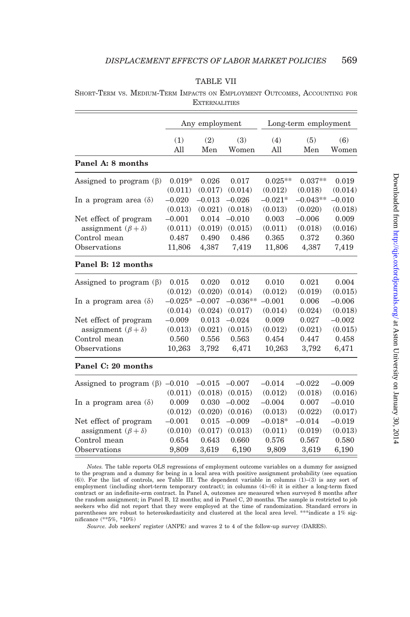#### TABLE VII

<span id="page-38-0"></span>SHORT-TERM VS. MEDIUM-TERM IMPACTS ON EMPLOYMENT OUTCOMES, ACCOUNTING FOR **EXTERNALITIES** 

|                                      |            | Any employment |              |            | Long-term employment |              |
|--------------------------------------|------------|----------------|--------------|------------|----------------------|--------------|
|                                      | (1)<br>All | (2)<br>Men     | (3)<br>Women | (4)<br>All | (5)<br>Men           | (6)<br>Women |
| Panel A: 8 months                    |            |                |              |            |                      |              |
| Assigned to program $(\beta)$        | $0.019*$   | 0.026          | 0.017        | $0.025**$  | $0.037**$            | 0.019        |
|                                      | (0.011)    | (0.017)        | (0.014)      | (0.012)    | (0.018)              | (0.014)      |
| In a program area $(\delta)$         | $-0.020$   | $-0.013$       | $-0.026$     | $-0.021*$  | $-0.043**$           | $-0.010$     |
|                                      | (0.013)    | (0.021)        | (0.018)      | (0.013)    | (0.020)              | (0.018)      |
| Net effect of program                | $-0.001$   | 0.014          | $-0.010$     | 0.003      | $-0.006$             | 0.009        |
| assignment $(\beta + \delta)$        | (0.011)    | (0.019)        | (0.015)      | (0.011)    | (0.018)              | (0.016)      |
| Control mean                         | 0.487      | 0.490          | 0.486        | 0.365      | 0.372                | 0.360        |
| Observations                         | 11,806     | 4,387          | 7,419        | 11,806     | 4,387                | 7,419        |
| Panel B: 12 months                   |            |                |              |            |                      |              |
| Assigned to program $(\beta)$        | 0.015      | 0.020          | 0.012        | 0.010      | 0.021                | 0.004        |
|                                      | (0.012)    | (0.020)        | (0.014)      | (0.012)    | (0.019)              | (0.015)      |
| In a program area $(\delta)$         | $-0.025*$  | $-0.007$       | $-0.036**$   | $-0.001$   | 0.006                | $-0.006$     |
|                                      | (0.014)    | (0.024)        | (0.017)      | (0.014)    | (0.024)              | (0.018)      |
| Net effect of program                | $-0.009$   | 0.013          | $-0.024$     | 0.009      | 0.027                | $-0.002$     |
| assignment $(\beta + \delta)$        | (0.013)    | (0.021)        | (0.015)      | (0.012)    | (0.021)              | (0.015)      |
| Control mean                         | 0.560      | 0.556          | 0.563        | 0.454      | 0.447                | 0.458        |
| Observations                         | 10,263     | 3,792          | 6,471        | 10,263     | 3,792                | 6,471        |
| Panel C: 20 months                   |            |                |              |            |                      |              |
| Assigned to program $(\beta)$ -0.010 |            | $-0.015$       | $-0.007$     | $-0.014$   | $-0.022$             | $-0.009$     |
|                                      | (0.011)    | (0.018)        | (0.015)      | (0.012)    | (0.018)              | (0.016)      |
| In a program area $(\delta)$         | 0.009      | 0.030          | $-0.002$     | $-0.004$   | 0.007                | $-0.010$     |
|                                      | (0.012)    | (0.020)        | (0.016)      | (0.013)    | (0.022)              | (0.017)      |
| Net effect of program                | $-0.001$   | 0.015          | $-0.009$     | $-0.018*$  | $-0.014$             | $-0.019$     |
| assignment $(\beta + \delta)$        | (0.010)    | (0.017)        | (0.013)      | (0.011)    | (0.019)              | (0.013)      |
| Control mean                         | 0.654      | 0.643          | 0.660        | 0.576      | 0.567                | 0.580        |
| Observations                         | 9,809      | 3,619          | 6,190        | 9,809      | 3,619                | 6,190        |

Notes. The table reports OLS regressions of employment outcome variables on a dummy for assigned to the program and a dummy for being in a local area with positive assignment probability (see [equation](#page-23-0) [\(6\)\)](#page-23-0). For the list of controls, see [Table III.](#page-21-0) The dependent variable in columns (1)–(3) is any sort of employment (including short-term temporary contract); in columns (4)–(6) it is either a long-term fixed contract or an indefinite-erm contract. In Panel A, outcomes are measured when surveyed 8 months after the random assignment; in Panel B, 12 months; and in Panel C, 20 months. The sample is restricted to job seekers who did not report that they were employed at the time of randomization. Standard errors in parentheses are robust to heteroskedasticity and clustered at the local area level. \*\*\*indicate a 1% significance (\*\*5%, \*10%)

Source. Job seekers' register (ANPE) and waves 2 to 4 of the follow-up survey (DARES).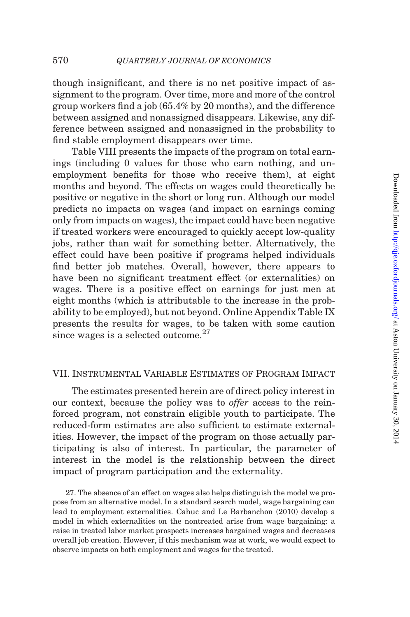though insignificant, and there is no net positive impact of assignment to the program. Over time, more and more of the control group workers find a job (65.4% by 20 months), and the difference between assigned and nonassigned disappears. Likewise, any difference between assigned and nonassigned in the probability to find stable employment disappears over time.

[Table VIII](#page-40-0) presents the impacts of the program on total earnings (including 0 values for those who earn nothing, and unemployment benefits for those who receive them), at eight months and beyond. The effects on wages could theoretically be positive or negative in the short or long run. Although our model predicts no impacts on wages (and impact on earnings coming only from impacts on wages), the impact could have been negative if treated workers were encouraged to quickly accept low-quality jobs, rather than wait for something better. Alternatively, the effect could have been positive if programs helped individuals find better job matches. Overall, however, there appears to have been no significant treatment effect (or externalities) on wages. There is a positive effect on earnings for just men at eight months (which is attributable to the increase in the probability to be employed), but not beyond. [Online Appendix Table IX](http://hwmaint.qje.oxfordjournals.org/lookup/suppl/doi:10.1093/qje/qjt001/-/DC1) presents the results for wages, to be taken with some caution since wages is a selected outcome.<sup>27</sup>

# VII. Instrumental Variable Estimates of Program Impact

The estimates presented herein are of direct policy interest in our context, because the policy was to offer access to the reinforced program, not constrain eligible youth to participate. The reduced-form estimates are also sufficient to estimate externalities. However, the impact of the program on those actually participating is also of interest. In particular, the parameter of interest in the model is the relationship between the direct impact of program participation and the externality.

27. The absence of an effect on wages also helps distinguish the model we propose from an alternative model. In a standard search model, wage bargaining can lead to employment externalities. [Cahuc and Le Barbanchon \(2010\)](#page-48-0) develop a model in which externalities on the nontreated arise from wage bargaining: a raise in treated labor market prospects increases bargained wages and decreases overall job creation. However, if this mechanism was at work, we would expect to observe impacts on both employment and wages for the treated.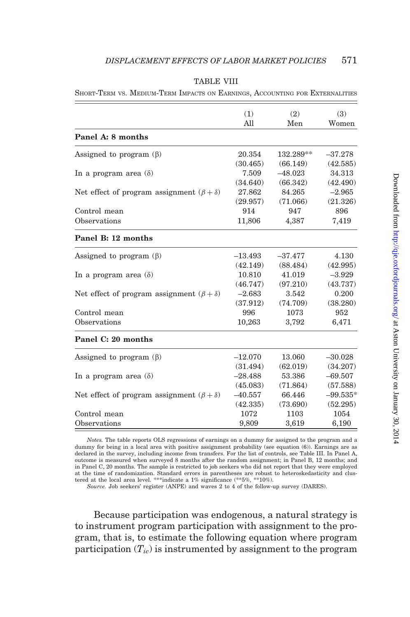| IERNI VO, MIEDICH IERNI IMIACIO ON IEARNINGO, IXCOOCNIRNO FOR IEAIERNAEITIEC |            |            |              |
|------------------------------------------------------------------------------|------------|------------|--------------|
|                                                                              | (1)<br>All | (2)<br>Men | (3)<br>Women |
| Panel A: 8 months                                                            |            |            |              |
| Assigned to program $(\beta)$                                                | 20.354     | 132.289**  | $-37.278$    |
|                                                                              | (30.465)   | (66.149)   | (42.585)     |
| In a program area $(\delta)$                                                 | 7.509      | $-48.023$  | 34.313       |
|                                                                              | (34.640)   | (66.342)   | (42.490)     |
| Net effect of program assignment $(\beta + \delta)$                          | 27.862     | 84.265     | $-2.965$     |
|                                                                              | (29.957)   | (71.066)   | (21.326)     |
| Control mean                                                                 | 914        | 947        | 896          |
| Observations                                                                 | 11,806     | 4,387      | 7,419        |
| Panel B: 12 months                                                           |            |            |              |
| Assigned to program $(\beta)$                                                | $-13.493$  | $-37.477$  | 4.130        |
|                                                                              | (42.149)   | (88.484)   | (42.995)     |
| In a program area $(\delta)$                                                 | 10.810     | 41.019     | $-3.929$     |
|                                                                              | (46.747)   | (97.210)   | (43.737)     |
| Net effect of program assignment $(\beta + \delta)$                          | $-2.683$   | 3.542      | 0.200        |
|                                                                              | (37.912)   | (74.709)   | (38.280)     |
| Control mean                                                                 | 996        | 1073       | 952          |
| Observations                                                                 | 10,263     | 3,792      | 6,471        |
| Panel C: 20 months                                                           |            |            |              |
| Assigned to program $(\beta)$                                                | $-12.070$  | 13.060     | $-30.028$    |
|                                                                              | (31.494)   | (62.019)   | (34.207)     |
| In a program area $(\delta)$                                                 | $-28.488$  | 53.386     | $-69.507$    |
|                                                                              | (45.083)   | (71.864)   | (57.588)     |
| Net effect of program assignment $(\beta + \delta)$                          | $-40.557$  | 66.446     | $-99.535*$   |
|                                                                              | (42.335)   | (73.690)   | (52.295)     |
| Control mean                                                                 | 1072       | 1103       | 1054         |
| Observations                                                                 | 9,809      | 3,619      | 6,190        |

| TABLE VIII |  |
|------------|--|
|------------|--|

<span id="page-40-0"></span>SHORT-TERM VS. MEDIUM-TERM IMPACTS ON EARNINGS, ACCOUNTING FOR EXTERNALITIES

Notes. The table reports OLS regressions of earnings on a dummy for assigned to the program and a dummy for being in a local area with positive assignment probability (see [equation \(6\)](#page-23-0)). Earnings are as declared in the survey, including income from transfers. For the list of controls, see [Table III.](#page-21-0) In Panel A, outcome is measured when surveyed 8 months after the random assignment; in Panel B, 12 months; and in Panel C, 20 months. The sample is restricted to job seekers who did not report that they were employed at the time of randomization. Standard errors in parentheses are robust to heteroskedasticity and clustered at the local area level. \*\*\*indicate a 1% significance (\*\*5%, \*\*10%).

Source. Job seekers' register (ANPE) and waves 2 to 4 of the follow-up survey (DARES).

Because participation was endogenous, a natural strategy is to instrument program participation with assignment to the program, that is, to estimate the following equation where program participation  $(T_{ic})$  is instrumented by assignment to the program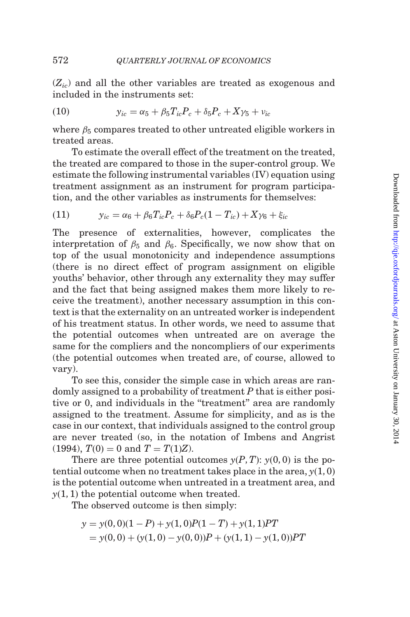<span id="page-41-0"></span> $(Z_{ic})$  and all the other variables are treated as exogenous and included in the instruments set:

(10) 
$$
y_{ic} = \alpha_5 + \beta_5 T_{ic} P_c + \delta_5 P_c + X \gamma_5 + v_{ic}
$$

where  $\beta_5$  compares treated to other untreated eligible workers in treated areas.

To estimate the overall effect of the treatment on the treated, the treated are compared to those in the super-control group. We estimate the following instrumental variables (IV) equation using treatment assignment as an instrument for program participation, and the other variables as instruments for themselves:

(11) 
$$
y_{ic} = \alpha_6 + \beta_6 T_{ic} P_c + \delta_6 P_c (1 - T_{ic}) + X \gamma_6 + \xi_{ic}
$$

The presence of externalities, however, complicates the interpretation of  $\beta_5$  and  $\beta_6$ . Specifically, we now show that on top of the usual monotonicity and independence assumptions (there is no direct effect of program assignment on eligible youths' behavior, other through any externality they may suffer and the fact that being assigned makes them more likely to receive the treatment), another necessary assumption in this context is that the externality on an untreated worker is independent of his treatment status. In other words, we need to assume that the potential outcomes when untreated are on average the same for the compliers and the noncompliers of our experiments (the potential outcomes when treated are, of course, allowed to vary).

To see this, consider the simple case in which areas are randomly assigned to a probability of treatment P that is either positive or 0, and individuals in the "treatment" area are randomly assigned to the treatment. Assume for simplicity, and as is the case in our context, that individuals assigned to the control group are never treated (so, in the notation of [Imbens and Angrist](#page-49-0) [\(1994\)](#page-49-0),  $T(0) = 0$  and  $T = T(1)Z$ ).

There are three potential outcomes  $y(P, T)$ :  $y(0, 0)$  is the potential outcome when no treatment takes place in the area,  $y(1, 0)$ is the potential outcome when untreated in a treatment area, and  $y(1, 1)$  the potential outcome when treated.

The observed outcome is then simply:

$$
y = y(0, 0)(1 - P) + y(1, 0)P(1 - T) + y(1, 1)PT
$$
  
= y(0, 0) + (y(1, 0) – y(0, 0))P + (y(1, 1) – y(1, 0))PT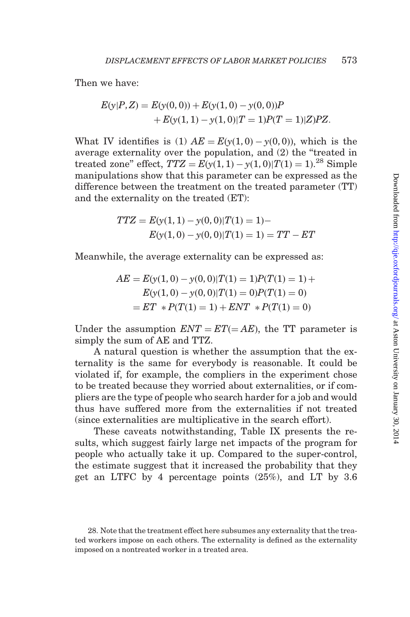Then we have:

$$
E(y|P, Z) = E(y(0, 0)) + E(y(1, 0) - y(0, 0))P
$$
  
+ 
$$
E(y(1, 1) - y(1, 0)|T = 1)P(T = 1)|Z)PZ.
$$

What IV identifies is (1)  $AE = E(y(1,0) - y(0,0))$ , which is the average externality over the population, and (2) the ''treated in treated zone" effect,  $TTZ = E(y(1, 1) - y(1, 0)|T(1) = 1).^{28}$  Simple manipulations show that this parameter can be expressed as the difference between the treatment on the treated parameter (TT) and the externality on the treated (ET):

$$
TTZ = E(y(1, 1) - y(0, 0)|T(1) = 1) -
$$
  
 
$$
E(y(1, 0) - y(0, 0)|T(1) = 1) = TT - ET
$$

Meanwhile, the average externality can be expressed as:

$$
AE = E(y(1,0) - y(0,0)|T(1) = 1)P(T(1) = 1) + E(y(1,0) - y(0,0)|T(1) = 0)P(T(1) = 0) = ET * P(T(1) = 1) + ENT * P(T(1) = 0)
$$

Under the assumption  $ENT = ET(=AE)$ , the TT parameter is simply the sum of AE and TTZ.

A natural question is whether the assumption that the externality is the same for everybody is reasonable. It could be violated if, for example, the compliers in the experiment chose to be treated because they worried about externalities, or if compliers are the type of people who search harder for a job and would thus have suffered more from the externalities if not treated (since externalities are multiplicative in the search effort).

These caveats notwithstanding, [Table IX](#page-43-0) presents the results, which suggest fairly large net impacts of the program for people who actually take it up. Compared to the super-control, the estimate suggest that it increased the probability that they get an LTFC by 4 percentage points (25%), and LT by 3.6

<sup>28.</sup> Note that the treatment effect here subsumes any externality that the treated workers impose on each others. The externality is defined as the externality imposed on a nontreated worker in a treated area.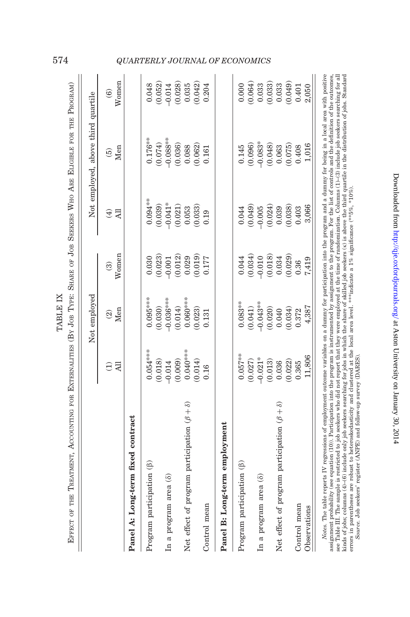|                                                        |                                                   | Not employed          |                                                                               |                                                                          | Not employed, above third quartile |                                 |
|--------------------------------------------------------|---------------------------------------------------|-----------------------|-------------------------------------------------------------------------------|--------------------------------------------------------------------------|------------------------------------|---------------------------------|
|                                                        | $\overline{\mathsf{A}}\overline{\mathsf{I}}$<br>Ξ | Men<br>$\widehat{2}$  | Women<br>$\widehat{\mathcal{C}}$                                              | $\widehat{\mathfrak{g}}$<br>$\overline{AB}$                              | Men<br>$\widehat{\Theta}$          | Women<br>$\widehat{\mathbf{e}}$ |
| Panel A: Long-term fixed contract                      |                                                   |                       |                                                                               |                                                                          |                                    |                                 |
| Program participation $(\beta)$                        | $0.054***$                                        | $0.095***$            | 0.030                                                                         | $0.094***$                                                               | $0.176***$                         | 0.048                           |
|                                                        | (0.018)                                           | (0.030)               |                                                                               |                                                                          | (0.074)                            | (0.052)                         |
| In a program area ( $\delta$ )                         | $-0.014$                                          | $-0.036***$           |                                                                               |                                                                          | $-0.088**$                         | $-0.014$                        |
|                                                        | (0.009)                                           | (0.014)               |                                                                               |                                                                          | (0.036)                            | (0.028)                         |
| Net effect of program participation $(\beta + \delta)$ | $0.040***$                                        | $0.060***$            | $\begin{array}{c} (0.023) \\ -0.001 \\ 0.012) \\ 0.029 \\ 0.019) \end{array}$ | $\begin{array}{c} (0.039) \\ -0.041^{*} \\ (0.021) \\ 0.053 \end{array}$ | $\frac{0.088}{0.062}$              | 0.035                           |
|                                                        | (0.014)                                           | (0.023)               |                                                                               | (0.033)                                                                  |                                    | (0.042)                         |
| Control mean                                           | 0.16                                              | 0.131                 | 0.177                                                                         | 0.19                                                                     | 0.161                              | 0.204                           |
| Panel B: Long-term employment                          |                                                   |                       |                                                                               |                                                                          |                                    |                                 |
| Program participation $(\beta)$                        | $0.057***$                                        | 0.083**               | 0.044                                                                         | 0.044                                                                    | 0.145                              | 0.000                           |
|                                                        | $(0.027)$<br>-0.021*                              | $(0.041)$<br>-0.043** |                                                                               |                                                                          | (0.096)                            | (0.064)                         |
| In a program area ( $\delta$ )                         |                                                   |                       |                                                                               | $(0.049)$<br>$-0.005$<br>$(0.024)$                                       | $-0.083*$                          | 0.033                           |
|                                                        | (0.013)                                           | (0.020)               | $\begin{array}{c} (0.034) \\ -0.010 \\ (0.018) \\ 0.034 \end{array}$          |                                                                          | (0.048)                            | (0.033)                         |
| Net effect of program participation $(\beta + \delta)$ | 0.036                                             | 0.040                 |                                                                               | 0.039                                                                    | 0.063                              | 0.033                           |
|                                                        | (0.022)                                           | (0.034)               | (0.029)                                                                       | (0.038)                                                                  | (0.075)                            | (0.049)                         |
| Control mean                                           | 0.365                                             | 0.372                 | 0.36                                                                          | 0.403                                                                    | 0.408                              | 0.401                           |
| Observations                                           | 11,806                                            | 4,387                 | 7,419                                                                         | 3,066                                                                    | 1,016                              | 2,050                           |
|                                                        |                                                   |                       |                                                                               |                                                                          |                                    |                                 |

Notes. The table reports IV regressions of employment outcome variables on a dummy for participation into the program and a dummy for being in a local area with positive assignment probability (see equation (10)). Particip see Table III. The sample is restricted to job seekers who did not report that they were employed at the time of randomization. Columns (1)–(3) include job seekers searching for all<br>kinds of jobs; columns (4)–(6) include Notes. The table reports IV regressions of employment outcome variables on a dummy for participation into the program and a dummy for being in a local area with positive assignment probability (see [equation](#page-41-0) (10)). Participation into the program is instrumented by assignment to the program. For the list of controls and the definition of the outcomes see [Table](#page-21-0) III. The sample is restricted to job seekers who did not report that they were employed at the time of randomization. Columns (1)–(3) include job seekers searching for all kinds of jobs; columns (4)–(6) include only job seekers searching for jobs in which the share of skilled job seekers (k) is above the third quartile in the distribution of jobs. Standard errors in parentheses are robust to heteroskedasticity and clustered at the local area level. \*\*\*indicate a 1% significance (\*\*5%, \*10%). errors in parentheses are robust to heteroskedasticity and clustered at the local area level. \*\*\*indicate a 1% significance (\*\*5%, \*10%).

Source. Job seekers' register (ANPE) and follow-up survey (DARES). Source. Job seekers' register (ANPE) and follow-up survey (DARES).

# <span id="page-43-0"></span>574 QUARTERLY JOURNAL OF ECONOMICS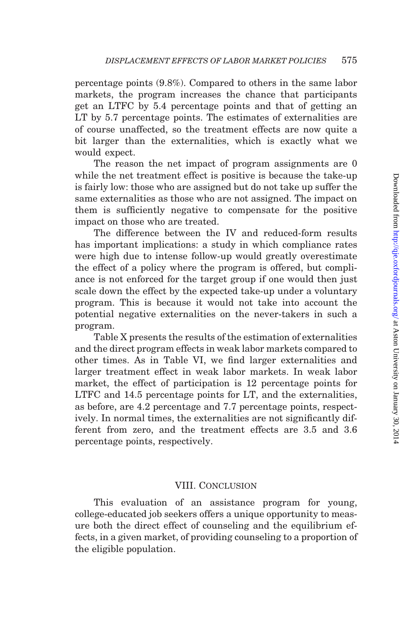percentage points (9.8%). Compared to others in the same labor markets, the program increases the chance that participants get an LTFC by 5.4 percentage points and that of getting an LT by 5.7 percentage points. The estimates of externalities are of course unaffected, so the treatment effects are now quite a bit larger than the externalities, which is exactly what we would expect.

The reason the net impact of program assignments are 0 while the net treatment effect is positive is because the take-up is fairly low: those who are assigned but do not take up suffer the same externalities as those who are not assigned. The impact on them is sufficiently negative to compensate for the positive impact on those who are treated.

The difference between the IV and reduced-form results has important implications: a study in which compliance rates were high due to intense follow-up would greatly overestimate the effect of a policy where the program is offered, but compliance is not enforced for the target group if one would then just scale down the effect by the expected take-up under a voluntary program. This is because it would not take into account the potential negative externalities on the never-takers in such a program.

[Table X](#page-45-0) presents the results of the estimation of externalities and the direct program effects in weak labor markets compared to other times. As in [Table VI,](#page-37-0) we find larger externalities and larger treatment effect in weak labor markets. In weak labor market, the effect of participation is 12 percentage points for LTFC and 14.5 percentage points for LT, and the externalities, as before, are 4.2 percentage and 7.7 percentage points, respectively. In normal times, the externalities are not significantly different from zero, and the treatment effects are 3.5 and 3.6 percentage points, respectively.

#### VIII. Conclusion

This evaluation of an assistance program for young, college-educated job seekers offers a unique opportunity to measure both the direct effect of counseling and the equilibrium effects, in a given market, of providing counseling to a proportion of the eligible population.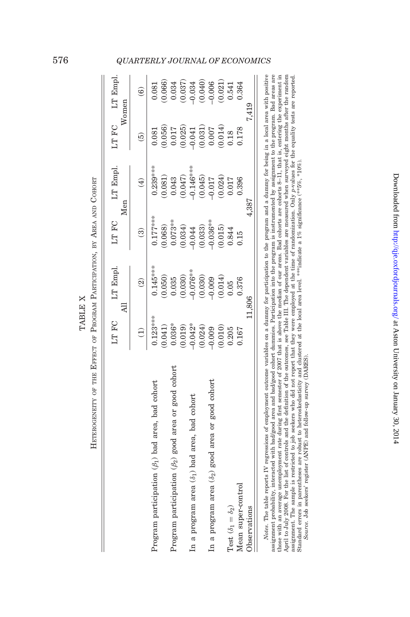|                                                            | LT FC      | LT Empl.<br>₹            | LT FC       | LT Empl.<br>Men |          | LT FC LT Empl.<br>Women |
|------------------------------------------------------------|------------|--------------------------|-------------|-----------------|----------|-------------------------|
|                                                            |            | $\widehat{\mathfrak{D}}$ | ඔ           | $\bigoplus$     | ම        | ම                       |
| Program participation $(\beta_1)$ bad area, bad cohort     | $0.123***$ | $0.145***$               | $0.177***$  | $0.239***$      | 0.081    | 0.81                    |
|                                                            | (0.041)    | (0.050)                  | 0.068       | 0.081)          | (0.056)  | (0.066)                 |
| Program participation $(\beta_2)$ good area or good cohort | $0.036*$   | 0.035                    | $0.073**$   | 0.043           | 0.017    | 0.034                   |
|                                                            | (0.019)    | 0.030)                   | (0.034)     | (0.047)         | 0.025)   | (0.037)                 |
| In a program area ( $\delta_1$ ) bad area, bad cohort      | $-0.042*$  | $-0.076***$              | $-0.044$    | $-0.146***$     | $-0.041$ | 0.034                   |
|                                                            | (0.024)    | 0.030)                   | (0.033)     | (0.045)         | (0.031)  | (0.040)                 |
| In a program area $(\delta_2)$ good area or good cohort    | $-0.009$   | 0.009                    | $-0.036***$ | 0.017           | 0.007    | $-0.006$                |
|                                                            | (0.010)    | (0.014)                  | 0.015)      | (0.024)         | (0.014)  | 0.021)                  |
| Test $(\delta_1 = \delta_2)$                               | 0.205      | 0.05                     | 0.844       | 0.017           | 0.18     | 0.541                   |
| Mean super-control                                         | 0.167      | 0.376                    | 0.15        | 0.396           | 0.178    | 0.364                   |
| Observations                                               |            | 1.806                    |             | 4.387           |          | 7,419                   |

assignment probability, interacted with badlgood and badlgood cohort dummies. Participation into the program is instrumented by assignment to the program. Bad areas are<br>those with an average unemployment rate during first April to July 2008. For the list of controls and the definition of the outcomes, see Table III. The dependent variables are measured when surveyed eight months after the random<br>assignment. The sample is restricted to job s assignment probability, interacted with bad/good area and bad/good cohort dummies. Participation into the program is instrumented by assignment to the program. Bad areas are those with an average unemployment rate during first semester of 2007 that is above the median of our areas. Bad cohorts are cohorts 8–11, that is, entering the experiment in April to July 2008. For the list of controls and the definition of the outcomes, see [Table](#page-21-0) III. The dependent variables are measured when surveyed eight months after the random assignment. The sample is restricted to job seekers who did not report that they were employed at the time of randomization. Only p-values for the equality tests are reported. Standard errors in parentheses are robust to heteroskedasticity and clustered at the local area level. \*\*\*indicate a 1% significance (\*\*5%, \*10%). Standard errors in parentheses are robust to heteroskedasticity and clustered at the local area level. \*\*\*indicate a 1% significance (\*\*5%, \*10%). Source. Job seekers' register (ANPE) and follow-up survey (DARES). Source. Job seekers' register (ANPE) and follow-up survey (DARES).

TABLE X

HETEROGENEITY OF THE EFFECT OF PROGRAM PARTICIPATION, BY AREA AND COHORT TABLE X

# <span id="page-45-0"></span>576 QUARTERLY JOURNAL OF ECONOMICS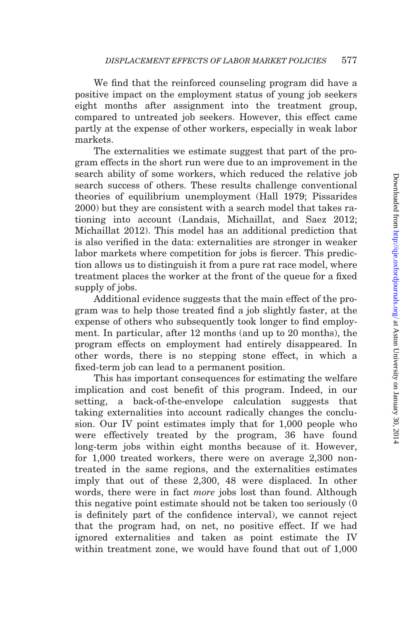We find that the reinforced counseling program did have a positive impact on the employment status of young job seekers eight months after assignment into the treatment group, compared to untreated job seekers. However, this effect came partly at the expense of other workers, especially in weak labor markets.

The externalities we estimate suggest that part of the program effects in the short run were due to an improvement in the search ability of some workers, which reduced the relative job search success of others. These results challenge conventional theories of equilibrium unemployment [\(Hall 1979](#page-48-0); [Pissarides](#page-49-0) [2000\)](#page-49-0) but they are consistent with a search model that takes rationing into account [\(Landais, Michaillat, and Saez 2012;](#page-49-0) [Michaillat 2012](#page-49-0)). This model has an additional prediction that is also verified in the data: externalities are stronger in weaker labor markets where competition for jobs is fiercer. This prediction allows us to distinguish it from a pure rat race model, where treatment places the worker at the front of the queue for a fixed supply of jobs.

Additional evidence suggests that the main effect of the program was to help those treated find a job slightly faster, at the expense of others who subsequently took longer to find employment. In particular, after 12 months (and up to 20 months), the program effects on employment had entirely disappeared. In other words, there is no stepping stone effect, in which a fixed-term job can lead to a permanent position.

This has important consequences for estimating the welfare implication and cost benefit of this program. Indeed, in our setting, a back-of-the-envelope calculation suggests that taking externalities into account radically changes the conclusion. Our IV point estimates imply that for 1,000 people who were effectively treated by the program, 36 have found long-term jobs within eight months because of it. However, for 1,000 treated workers, there were on average 2,300 nontreated in the same regions, and the externalities estimates imply that out of these 2,300, 48 were displaced. In other words, there were in fact *more* jobs lost than found. Although this negative point estimate should not be taken too seriously (0 is definitely part of the confidence interval), we cannot reject that the program had, on net, no positive effect. If we had ignored externalities and taken as point estimate the IV within treatment zone, we would have found that out of 1,000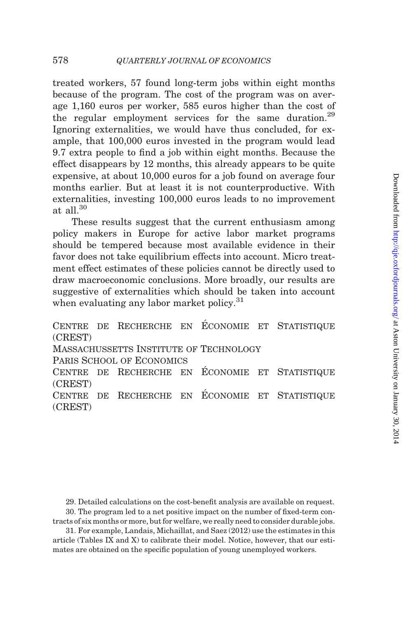treated workers, 57 found long-term jobs within eight months because of the program. The cost of the program was on average 1,160 euros per worker, 585 euros higher than the cost of the regular employment services for the same duration.<sup>29</sup> Ignoring externalities, we would have thus concluded, for example, that 100,000 euros invested in the program would lead 9.7 extra people to find a job within eight months. Because the effect disappears by 12 months, this already appears to be quite expensive, at about 10,000 euros for a job found on average four months earlier. But at least it is not counterproductive. With externalities, investing 100,000 euros leads to no improvement at all.30

These results suggest that the current enthusiasm among policy makers in Europe for active labor market programs should be tempered because most available evidence in their favor does not take equilibrium effects into account. Micro treatment effect estimates of these policies cannot be directly used to draw macroeconomic conclusions. More broadly, our results are suggestive of externalities which should be taken into account when evaluating any labor market policy.<sup>31</sup>

CENTRE DE RECHERCHE EN ÉCONOMIE ET STATISTIQUE (CREST) Massachussetts Institute of Technology Paris School of Economics CENTRE DE RECHERCHE EN ECONOMIE ET STATISTIQUE (CREST) CENTRE DE RECHERCHE EN ÉCONOMIE ET STATISTIQUE (CREST)

29. Detailed calculations on the cost-benefit analysis are available on request.

30. The program led to a net positive impact on the number of fixed-term contracts of six months or more, but for welfare, we really need to consider durable jobs.

31. For example, [Landais, Michaillat, and Saez \(2012\)](#page-49-0) use the estimates in this article [\(Tables IX](#page-43-0) and [X\)](#page-45-0) to calibrate their model. Notice, however, that our estimates are obtained on the specific population of young unemployed workers.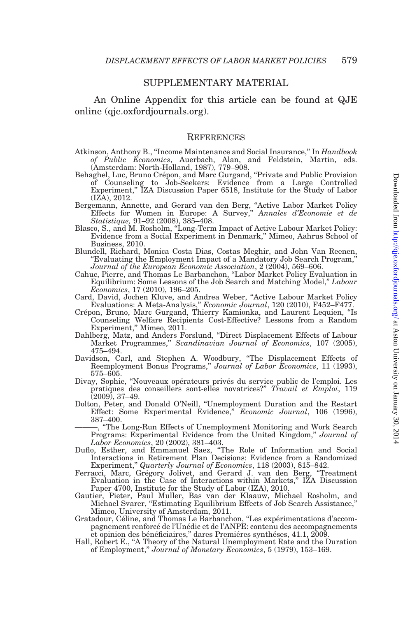#### SUPPLEMENTARY MATERIAL

<span id="page-48-0"></span>An [Online Appendix](http://hwmaint.qje.oxfordjournals.org/lookup/suppl/doi:10.1093/qje/qjt001/-/DC1) for this article can be found at QJE online (qje.oxfordjournals.org).

#### **REFERENCES**

- Atkinson, Anthony B., "Income Maintenance and Social Insurance," In *Handbook* of Public Economics, Auerbach, Alan, and Feldstein, Martin, eds. (Amsterdam: North-Holland, 1987), 779–908.
- Behaghel, Luc, Bruno Crépon, and Marc Gurgand, "Private and Public Provision of Counseling to Job-Seekers: Evidence from a Large Controlled Experiment,'' IZA Discussion Paper 6518, Institute for the Study of Labor (IZA), 2012.
- Bergemann, Annette, and Gerard van den Berg, ''Active Labor Market Policy Effects for Women in Europe: A Survey,'' Annales d'Economie et de
- Statistique, 91–92 (2008), 385–408. Blasco, S., and M. Rosholm, ''Long-Term Impact of Active Labour Market Policy: Evidence from a Social Experiment in Denmark,'' Mimeo, Aahrus School of Business, 2010.
- Blundell, Richard, Monica Costa Dias, Costas Meghir, and John Van Reenen, ''Evaluating the Employment Impact of a Mandatory Job Search Program,'' Journal of the European Economic Association, 2 (2004), 569–606.
- Cahuc, Pierre, and Thomas Le Barbanchon, ''Labor Market Policy Evaluation in Equilibrium: Some Lessons of the Job Search and Matching Model," *Labour* Economics, 17 (2010), 196–205.
- Card, David, Jochen Kluve, and Andrea Weber, ''Active Labour Market Policy Evaluations: A Meta-Analysis," *Economic Journal*, 120 (2010), F452–F477.<br>Crépon, Bruno, Marc Gurgand, Thierry Kamionka, and Laurent Lequien, "Is
- Counseling Welfare Recipients Cost-Effective? Lessons from a Random Experiment,'' Mimeo, 2011.
- Dahlberg, Matz, and Anders Forslund, ''Direct Displacement Effects of Labour Market Programmes," Scandinavian Journal of Economics, 107 (2005), 475–494.
- Davidson, Carl, and Stephen A. Woodbury, ''The Displacement Effects of Reemployment Bonus Programs," Journal of Labor Economics, 11 (1993), 575–605.
- Divay, Sophie, "Nouveaux opérateurs privés du service public de l'emploi. Les pratiques des conseillers sont-elles novatrices?'' Travail et Emploi, 119  $(2009)$ , 37–49.
- Dolton, Peter, and Donald O'Neill, ''Unemployment Duration and the Restart Effect: Some Experimental Evidence,'' Economic Journal, 106 (1996), 387–400. ———, ''The Long-Run Effects of Unemployment Monitoring and Work Search

Programs: Experimental Evidence from the United Kingdom," Journal of

- Labor Economics, 20 (2002), 381–403. Duflo, Esther, and Emmanuel Saez, ''The Role of Information and Social Interactions in Retirement Plan Decisions: Evidence from a Randomized Experiment,'' Quarterly Journal of Economics, 118 (2003), 815–842.
- Ferracci, Marc, Grégory Jolivet, and Gerard J. van den Berg, "Treatment Evaluation in the Case of Interactions within Markets,'' IZA Discussion Paper 4700, Institute for the Study of Labor (IZA), 2010.
- Gautier, Pieter, Paul Muller, Bas van der Klaauw, Michael Rosholm, and Michael Svarer, "Estimating Equilibrium Effects of Job Search Assistance," Mimeo, University of Amsterdam, 2011.
- Gratadour, Céline, and Thomas Le Barbanchon, "Les expérimentations d'accompagnement renforcé de l'Unédic et de l'ANPE: contenu des accompagnements
- et opinion des bénéficiaires," dares Premiéres synthéses, 41.1, 2009.<br>Hall, Robert E., "A Theory of the Natural Unemployment Rate and the Duration of Employment,'' Journal of Monetary Economics, 5 (1979), 153–169.